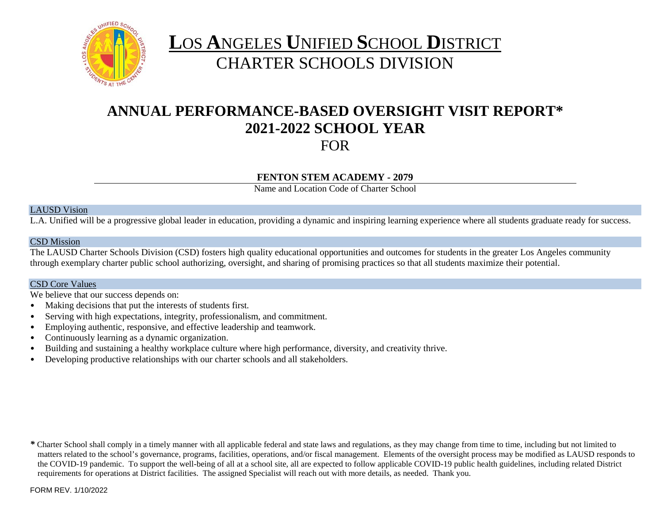

# **L**OS **A**NGELES **U**NIFIED **S**CHOOL **D**ISTRICT CHARTER SCHOOLS DIVISION

# **ANNUAL PERFORMANCE-BASED OVERSIGHT VISIT REPORT\* 2021-2022 SCHOOL YEAR** FOR

### **FENTON STEM ACADEMY - 2079**

Name and Location Code of Charter School

#### LAUSD Vision

L.A. Unified will be a progressive global leader in education, providing a dynamic and inspiring learning experience where all students graduate ready for success.

#### CSD Mission

The LAUSD Charter Schools Division (CSD) fosters high quality educational opportunities and outcomes for students in the greater Los Angeles community through exemplary charter public school authorizing, oversight, and sharing of promising practices so that all students maximize their potential.

### CSD Core Values

We believe that our success depends on:

- Making decisions that put the interests of students first.
- Serving with high expectations, integrity, professionalism, and commitment.
- Employing authentic, responsive, and effective leadership and teamwork.
- Continuously learning as a dynamic organization.
- Building and sustaining a healthy workplace culture where high performance, diversity, and creativity thrive.
- Developing productive relationships with our charter schools and all stakeholders.

*\** Charter School shall comply in a timely manner with all applicable federal and state laws and regulations, as they may change from time to time, including but not limited to matters related to the school's governance, programs, facilities, operations, and/or fiscal management. Elements of the oversight process may be modified as LAUSD responds to the COVID-19 pandemic. To support the well-being of all at a school site, all are expected to follow applicable COVID-19 public health guidelines, including related District requirements for operations at District facilities. The assigned Specialist will reach out with more details, as needed. Thank you.

FORM REV. 1/10/2022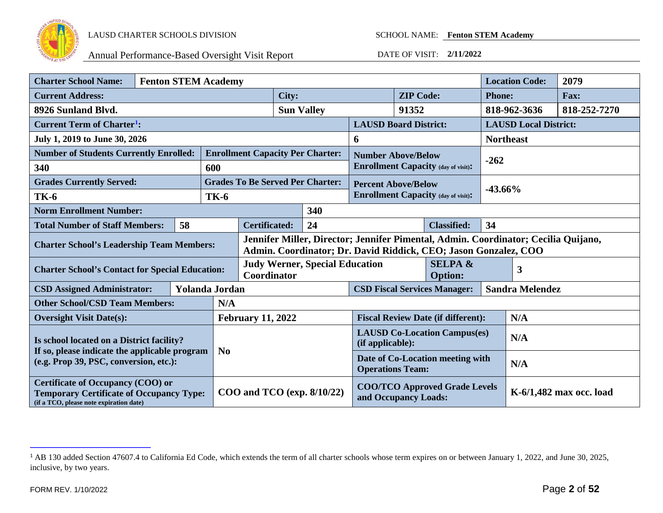

<span id="page-1-0"></span>

| <b>Charter School Name:</b>                                                                                                            | <b>Fenton STEM Academy</b> |    |                       |                                                                                                                                                       |                              |                                                              |                            |                           | <b>Location Code:</b>                      | 2079                         |              |              |
|----------------------------------------------------------------------------------------------------------------------------------------|----------------------------|----|-----------------------|-------------------------------------------------------------------------------------------------------------------------------------------------------|------------------------------|--------------------------------------------------------------|----------------------------|---------------------------|--------------------------------------------|------------------------------|--------------|--------------|
| <b>Current Address:</b>                                                                                                                |                            |    | City:                 |                                                                                                                                                       | <b>ZIP</b> Code:             |                                                              | <b>Phone:</b>              |                           | Fax:                                       |                              |              |              |
| 8926 Sunland Blvd.                                                                                                                     |                            |    |                       |                                                                                                                                                       |                              | <b>Sun Valley</b>                                            |                            | 91352                     |                                            |                              | 818-962-3636 | 818-252-7270 |
| <b>Current Term of Charter<sup>1</sup>:</b>                                                                                            |                            |    |                       |                                                                                                                                                       | <b>LAUSD Board District:</b> |                                                              |                            |                           |                                            | <b>LAUSD Local District:</b> |              |              |
| July 1, 2019 to June 30, 2026                                                                                                          |                            |    |                       |                                                                                                                                                       | 6                            |                                                              |                            | <b>Northeast</b>          |                                            |                              |              |              |
| <b>Number of Students Currently Enrolled:</b>                                                                                          |                            |    |                       |                                                                                                                                                       |                              | <b>Enrollment Capacity Per Charter:</b>                      |                            | <b>Number Above/Below</b> |                                            |                              |              |              |
| 340                                                                                                                                    |                            |    | 600                   |                                                                                                                                                       |                              |                                                              |                            |                           | <b>Enrollment Capacity (day of visit):</b> |                              | $-262$       |              |
| <b>Grades Currently Served:</b>                                                                                                        |                            |    |                       |                                                                                                                                                       |                              | <b>Grades To Be Served Per Charter:</b>                      | <b>Percent Above/Below</b> |                           |                                            |                              |              |              |
| <b>TK-6</b>                                                                                                                            |                            |    | <b>TK-6</b>           |                                                                                                                                                       |                              |                                                              |                            |                           | <b>Enrollment Capacity (day of visit):</b> | $-43.66%$                    |              |              |
| <b>Norm Enrollment Number:</b>                                                                                                         |                            |    |                       |                                                                                                                                                       |                              | 340                                                          |                            |                           |                                            |                              |              |              |
| <b>Total Number of Staff Members:</b>                                                                                                  |                            | 58 |                       | 24<br><b>Certificated:</b><br><b>Classified:</b>                                                                                                      |                              | 34                                                           |                            |                           |                                            |                              |              |              |
| <b>Charter School's Leadership Team Members:</b>                                                                                       |                            |    |                       | Jennifer Miller, Director; Jennifer Pimental, Admin. Coordinator; Cecilia Quijano,<br>Admin. Coordinator; Dr. David Riddick, CEO; Jason Gonzalez, COO |                              |                                                              |                            |                           |                                            |                              |              |              |
| <b>Charter School's Contact for Special Education:</b>                                                                                 |                            |    |                       | <b>Judy Werner, Special Education</b><br>Coordinator                                                                                                  |                              | <b>SELPA &amp;</b><br><b>Option:</b>                         |                            |                           | 3                                          |                              |              |              |
| <b>CSD Assigned Administrator:</b>                                                                                                     |                            |    | <b>Yolanda Jordan</b> | <b>CSD Fiscal Services Manager:</b>                                                                                                                   |                              |                                                              |                            | <b>Sandra Melendez</b>    |                                            |                              |              |              |
| <b>Other School/CSD Team Members:</b>                                                                                                  |                            |    | N/A                   |                                                                                                                                                       |                              |                                                              |                            |                           |                                            |                              |              |              |
| <b>Oversight Visit Date(s):</b>                                                                                                        |                            |    |                       | <b>February 11, 2022</b>                                                                                                                              |                              | <b>Fiscal Review Date (if different):</b>                    |                            |                           | N/A                                        |                              |              |              |
| Is school located on a District facility?                                                                                              |                            |    |                       |                                                                                                                                                       |                              | <b>LAUSD Co-Location Campus(es)</b><br>(if applicable):      |                            |                           | N/A                                        |                              |              |              |
| If so, please indicate the applicable program<br>(e.g. Prop 39, PSC, conversion, etc.):                                                |                            |    |                       | $\mathbf{N_0}$                                                                                                                                        |                              | Date of Co-Location meeting with<br><b>Operations Team:</b>  |                            |                           | N/A                                        |                              |              |              |
| <b>Certificate of Occupancy (COO) or</b><br><b>Temporary Certificate of Occupancy Type:</b><br>(if a TCO, please note expiration date) |                            |    |                       | $COO$ and $TCO$ (exp. $8/10/22$ )                                                                                                                     |                              | <b>COO/TCO Approved Grade Levels</b><br>and Occupancy Loads: |                            |                           |                                            | K-6/1,482 max occ. load      |              |              |

<sup>&</sup>lt;sup>1</sup> AB 130 added Section 47607.4 to California Ed Code, which extends the term of all charter schools whose term expires on or between January 1, 2022, and June 30, 2025, inclusive, by two years.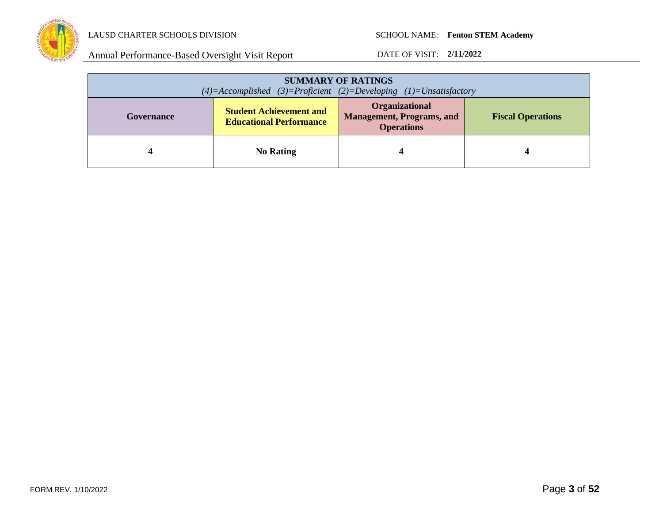

| <b>SUMMARY OF RATINGS</b><br>$(4)=$ Accomplished $(3)=$ Proficient $(2)=$ Developing $(1)=$ Unsatisfactory |                                                                  |                                                                         |                          |  |
|------------------------------------------------------------------------------------------------------------|------------------------------------------------------------------|-------------------------------------------------------------------------|--------------------------|--|
| Governance                                                                                                 | <b>Student Achievement and</b><br><b>Educational Performance</b> | Organizational<br><b>Management, Programs, and</b><br><b>Operations</b> | <b>Fiscal Operations</b> |  |
|                                                                                                            | <b>No Rating</b>                                                 |                                                                         |                          |  |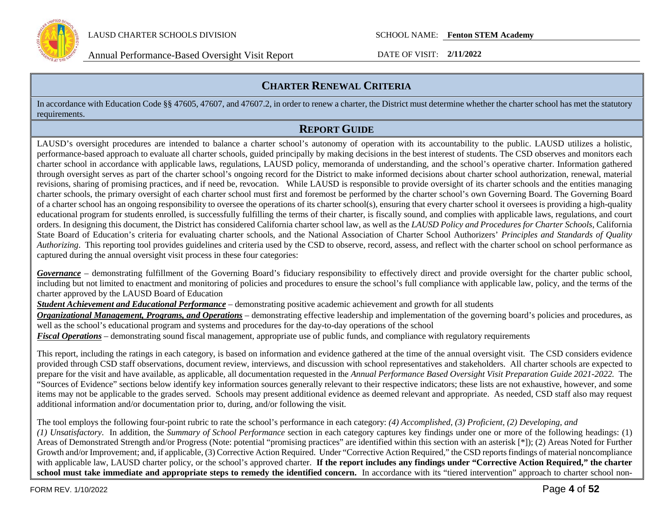

Annual Performance-Based Oversight Visit Report DATE OF VISIT: **2/11/2022**

## **CHARTER RENEWAL CRITERIA**

In accordance with Education Code §§ 47605, 47607, and 47607.2, in order to renew a charter, the District must determine whether the charter school has met the statutory requirements.

## **REPORT GUIDE**

LAUSD's oversight procedures are intended to balance a charter school's autonomy of operation with its accountability to the public. LAUSD utilizes a holistic, performance-based approach to evaluate all charter schools, guided principally by making decisions in the best interest of students. The CSD observes and monitors each charter school in accordance with applicable laws, regulations, LAUSD policy, memoranda of understanding, and the school's operative charter. Information gathered through oversight serves as part of the charter school's ongoing record for the District to make informed decisions about charter school authorization, renewal, material revisions, sharing of promising practices, and if need be, revocation. While LAUSD is responsible to provide oversight of its charter schools and the entities managing charter schools, the primary oversight of each charter school must first and foremost be performed by the charter school's own Governing Board. The Governing Board of a charter school has an ongoing responsibility to oversee the operations of its charter school(s), ensuring that every charter school it oversees is providing a high-quality educational program for students enrolled, is successfully fulfilling the terms of their charter, is fiscally sound, and complies with applicable laws, regulations, and court orders. In designing this document, the District has considered California charter school law, as well as the *LAUSD Policy and Procedures for Charter Schools,* California State Board of Education's criteria for evaluating charter schools, and the National Association of Charter School Authorizers' *Principles and Standards of Quality Authorizing*. This reporting tool provides guidelines and criteria used by the CSD to observe, record, assess, and reflect with the charter school on school performance as captured during the annual oversight visit process in these four categories:

*Governance* – demonstrating fulfillment of the Governing Board's fiduciary responsibility to effectively direct and provide oversight for the charter public school, including but not limited to enactment and monitoring of policies and procedures to ensure the school's full compliance with applicable law, policy, and the terms of the charter approved by the LAUSD Board of Education

*Student Achievement and Educational Performance* – demonstrating positive academic achievement and growth for all students

*Organizational Management, Programs, and Operations* – demonstrating effective leadership and implementation of the governing board's policies and procedures, as well as the school's educational program and systems and procedures for the day-to-day operations of the school

*Fiscal Operations* – demonstrating sound fiscal management, appropriate use of public funds, and compliance with regulatory requirements

This report, including the ratings in each category, is based on information and evidence gathered at the time of the annual oversight visit. The CSD considers evidence provided through CSD staff observations, document review, interviews, and discussion with school representatives and stakeholders. All charter schools are expected to prepare for the visit and have available, as applicable, all documentation requested in the *Annual Performance Based Oversight Visit Preparation Guide 2021-2022.* The "Sources of Evidence" sections below identify key information sources generally relevant to their respective indicators; these lists are not exhaustive, however, and some items may not be applicable to the grades served. Schools may present additional evidence as deemed relevant and appropriate. As needed, CSD staff also may request additional information and/or documentation prior to, during, and/or following the visit.

The tool employs the following four-point rubric to rate the school's performance in each category: *(4) Accomplished, (3) Proficient, (2) Developing, and (1) Unsatisfactory*. In addition, the *Summary of School Performance* section in each category captures key findings under one or more of the following headings: (1) Areas of Demonstrated Strength and/or Progress (Note: potential "promising practices" are identified within this section with an asterisk [\*]); (2) Areas Noted for Further Growth and/or Improvement; and, if applicable, (3) Corrective Action Required. Under "Corrective Action Required," the CSD reports findings of material noncompliance with applicable law, LAUSD charter policy, or the school's approved charter. **If the report includes any findings under "Corrective Action Required," the charter**  school must take immediate and appropriate steps to remedy the identified concern. In accordance with its "tiered intervention" approach to charter school non-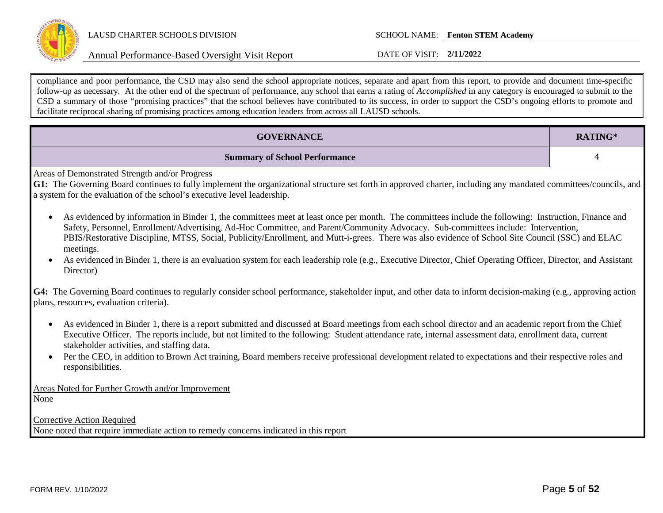

Annual Performance-Based Oversight Visit Report DATE OF VISIT: **2/11/2022**

compliance and poor performance, the CSD may also send the school appropriate notices, separate and apart from this report, to provide and document time-specific follow-up as necessary. At the other end of the spectrum of performance, any school that earns a rating of *Accomplished* in any category is encouraged to submit to the CSD a summary of those "promising practices" that the school believes have contributed to its success, in order to support the CSD's ongoing efforts to promote and facilitate reciprocal sharing of promising practices among education leaders from across all LAUSD schools.

| <b>GOVERNANCE</b>                                                                                                                                                                                                                                                                                                                                                                                                                                                                                                                                                                                                                                    | RATING* |  |  |
|------------------------------------------------------------------------------------------------------------------------------------------------------------------------------------------------------------------------------------------------------------------------------------------------------------------------------------------------------------------------------------------------------------------------------------------------------------------------------------------------------------------------------------------------------------------------------------------------------------------------------------------------------|---------|--|--|
| <b>Summary of School Performance</b>                                                                                                                                                                                                                                                                                                                                                                                                                                                                                                                                                                                                                 | 4       |  |  |
| <b>Areas of Demonstrated Strength and/or Progress</b><br>G1: The Governing Board continues to fully implement the organizational structure set forth in approved charter, including any mandated committees/councils, and<br>a system for the evaluation of the school's executive level leadership.                                                                                                                                                                                                                                                                                                                                                 |         |  |  |
| As evidenced by information in Binder 1, the committees meet at least once per month. The committees include the following: Instruction, Finance and<br>$\bullet$<br>Safety, Personnel, Enrollment/Advertising, Ad-Hoc Committee, and Parent/Community Advocacy. Sub-committees include: Intervention,<br>PBIS/Restorative Discipline, MTSS, Social, Publicity/Enrollment, and Mutt-i-grees. There was also evidence of School Site Council (SSC) and ELAC<br>meetings.<br>As evidenced in Binder 1, there is an evaluation system for each leadership role (e.g., Executive Director, Chief Operating Officer, Director, and Assistant<br>Director) |         |  |  |
| G4: The Governing Board continues to regularly consider school performance, stakeholder input, and other data to inform decision-making (e.g., approving action<br>plans, resources, evaluation criteria).                                                                                                                                                                                                                                                                                                                                                                                                                                           |         |  |  |
| As evidenced in Binder 1, there is a report submitted and discussed at Board meetings from each school director and an academic report from the Chief<br>$\bullet$<br>Executive Officer. The reports include, but not limited to the following: Student attendance rate, internal assessment data, enrollment data, current<br>stakeholder activities, and staffing data.                                                                                                                                                                                                                                                                            |         |  |  |
| Per the CEO, in addition to Brown Act training, Board members receive professional development related to expectations and their respective roles and<br>$\bullet$<br>responsibilities.                                                                                                                                                                                                                                                                                                                                                                                                                                                              |         |  |  |
| Areas Noted for Further Growth and/or Improvement<br>None                                                                                                                                                                                                                                                                                                                                                                                                                                                                                                                                                                                            |         |  |  |
| <b>Corrective Action Required</b><br>None noted that require immediate action to remedy concerns indicated in this report                                                                                                                                                                                                                                                                                                                                                                                                                                                                                                                            |         |  |  |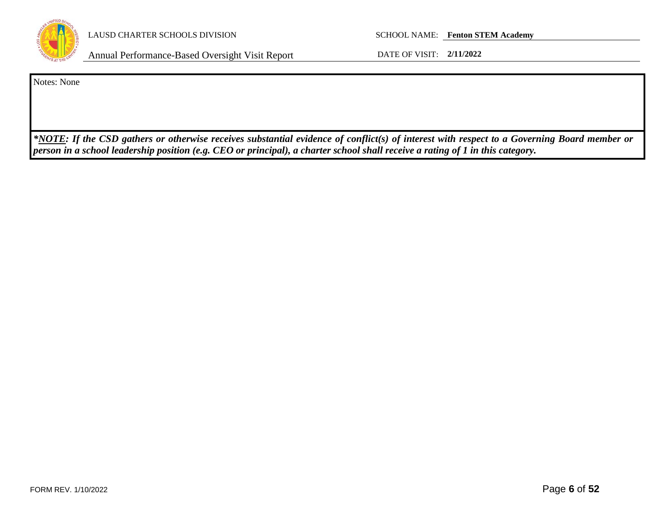

Annual Performance-Based Oversight Visit Report DATE OF VISIT: **2/11/2022**

Notes: None

*\*NOTE: If the CSD gathers or otherwise receives substantial evidence of conflict(s) of interest with respect to a Governing Board member or person in a school leadership position (e.g. CEO or principal), a charter school shall receive a rating of 1 in this category.*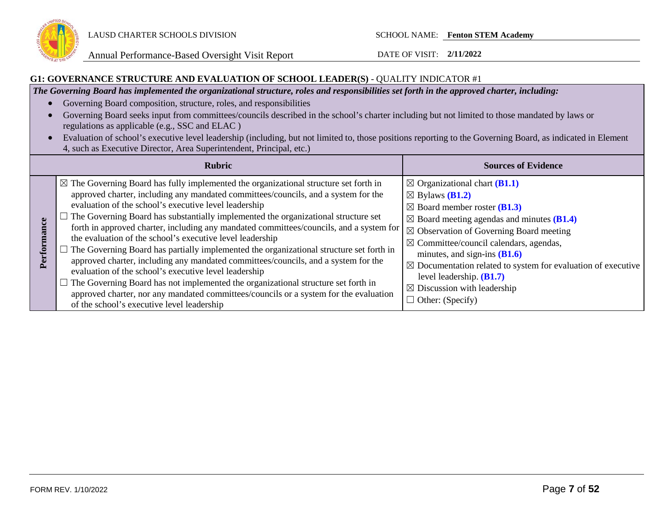

Annual Performance-Based Oversight Visit Report DATE OF VISIT: **2/11/2022**

#### **G1: GOVERNANCE STRUCTURE AND EVALUATION OF SCHOOL LEADER(S)** - QUALITY INDICATOR #1

*The Governing Board has implemented the organizational structure, roles and responsibilities set forth in the approved charter, including:*

- Governing Board composition, structure, roles, and responsibilities
- Governing Board seeks input from committees/councils described in the school's charter including but not limited to those mandated by laws or regulations as applicable (e.g., SSC and ELAC )
- Evaluation of school's executive level leadership (including, but not limited to, those positions reporting to the Governing Board, as indicated in Element 4, such as Executive Director, Area Superintendent, Principal, etc.)

|                  | <b>Rubric</b>                                                                                                                                                                                                                                                                                                                                                                                                                                                                                                                                                                                                                                                                                                                                                                                                                                                                                                                                                                           | <b>Sources of Evidence</b>                                                                                                                                                                                                                                                                                                                                                                                                                                                                                          |
|------------------|-----------------------------------------------------------------------------------------------------------------------------------------------------------------------------------------------------------------------------------------------------------------------------------------------------------------------------------------------------------------------------------------------------------------------------------------------------------------------------------------------------------------------------------------------------------------------------------------------------------------------------------------------------------------------------------------------------------------------------------------------------------------------------------------------------------------------------------------------------------------------------------------------------------------------------------------------------------------------------------------|---------------------------------------------------------------------------------------------------------------------------------------------------------------------------------------------------------------------------------------------------------------------------------------------------------------------------------------------------------------------------------------------------------------------------------------------------------------------------------------------------------------------|
| mance<br>Perforn | $\boxtimes$ The Governing Board has fully implemented the organizational structure set forth in<br>approved charter, including any mandated committees/councils, and a system for the<br>evaluation of the school's executive level leadership<br>$\Box$ The Governing Board has substantially implemented the organizational structure set<br>forth in approved charter, including any mandated committees/councils, and a system for<br>the evaluation of the school's executive level leadership<br>$\Box$ The Governing Board has partially implemented the organizational structure set forth in<br>approved charter, including any mandated committees/councils, and a system for the<br>evaluation of the school's executive level leadership<br>$\Box$ The Governing Board has not implemented the organizational structure set forth in<br>approved charter, nor any mandated committees/councils or a system for the evaluation<br>of the school's executive level leadership | $\boxtimes$ Organizational chart (B1.1)<br>$\boxtimes$ Bylaws ( <b>B1.2</b> )<br>$\boxtimes$ Board member roster ( <b>B1.3</b> )<br>$\boxtimes$ Board meeting agendas and minutes (B1.4)<br>$\boxtimes$ Observation of Governing Board meeting<br>$\boxtimes$ Committee/council calendars, agendas,<br>minutes, and sign-ins $(B1.6)$<br>$\boxtimes$ Documentation related to system for evaluation of executive<br>level leadership. $(B1.7)$<br>$\boxtimes$ Discussion with leadership<br>$\Box$ Other: (Specify) |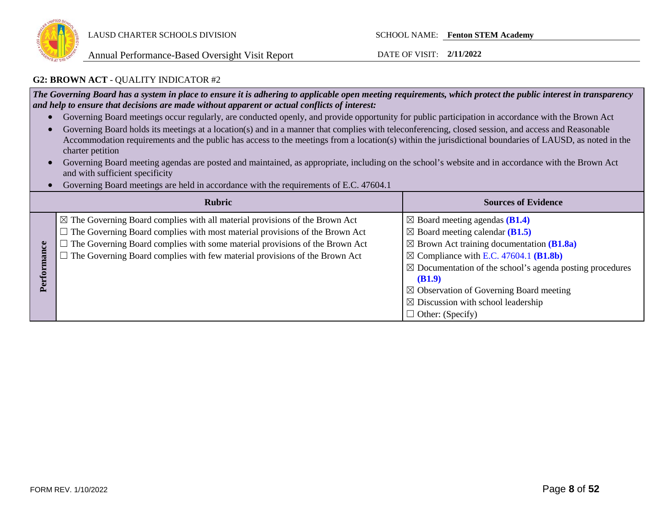

#### **G2: BROWN ACT** - QUALITY INDICATOR #2

*The Governing Board has a system in place to ensure it is adhering to applicable open meeting requirements, which protect the public interest in transparency and help to ensure that decisions are made without apparent or actual conflicts of interest:*

- Governing Board meetings occur regularly, are conducted openly, and provide opportunity for public participation in accordance with the Brown Act
- Governing Board holds its meetings at a location(s) and in a manner that complies with teleconferencing, closed session, and access and Reasonable Accommodation requirements and the public has access to the meetings from a location(s) within the jurisdictional boundaries of LAUSD, as noted in the charter petition
- Governing Board meeting agendas are posted and maintained, as appropriate, including on the school's website and in accordance with the Brown Act and with sufficient specificity
- Governing Board meetings are held in accordance with the requirements of E.C. 47604.1

|             | <b>Rubric</b>                                                                                                                                                                                                                                                                                                                                           | <b>Sources of Evidence</b>                                                                                                                                                                                                                                                                                                                                                                                           |
|-------------|---------------------------------------------------------------------------------------------------------------------------------------------------------------------------------------------------------------------------------------------------------------------------------------------------------------------------------------------------------|----------------------------------------------------------------------------------------------------------------------------------------------------------------------------------------------------------------------------------------------------------------------------------------------------------------------------------------------------------------------------------------------------------------------|
| erfori<br>ఆ | $\boxtimes$ The Governing Board complies with all material provisions of the Brown Act<br>$\Box$ The Governing Board complies with most material provisions of the Brown Act<br>$\Box$ The Governing Board complies with some material provisions of the Brown Act<br>$\Box$ The Governing Board complies with few material provisions of the Brown Act | $\boxtimes$ Board meeting agendas (B1.4)<br>$\boxtimes$ Board meeting calendar (B1.5)<br>$\boxtimes$ Brown Act training documentation (B1.8a)<br>$\boxtimes$ Compliance with E.C. 47604.1 (B1.8b)<br>$\boxtimes$ Documentation of the school's agenda posting procedures<br>(B1.9)<br>$\boxtimes$ Observation of Governing Board meeting<br>$\boxtimes$ Discussion with school leadership<br>$\Box$ Other: (Specify) |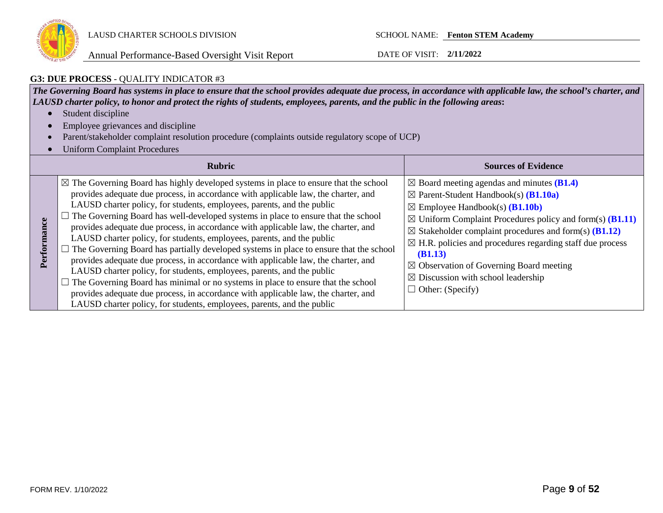

Annual Performance-Based Oversight Visit Report DATE OF VISIT: **2/11/2022**

### **G3: DUE PROCESS** - QUALITY INDICATOR #3

*The Governing Board has systems in place to ensure that the school provides adequate due process, in accordance with applicable law, the school's charter, and LAUSD charter policy, to honor and protect the rights of students, employees, parents, and the public in the following areas***:**

- Student discipline
- Employee grievances and discipline
- Parent/stakeholder complaint resolution procedure (complaints outside regulatory scope of UCP)
- Uniform Complaint Procedures

|             | <b>Rubric</b>                                                                                                                                                                                                                                                                                                                                                                                                                                                                                                                                                                                                                                                                                                                                                                                                                                                                                                                                                                                                                                           | <b>Sources of Evidence</b>                                                                                                                                                                                                                                                                                                                                                                                                                                                                                                                      |
|-------------|---------------------------------------------------------------------------------------------------------------------------------------------------------------------------------------------------------------------------------------------------------------------------------------------------------------------------------------------------------------------------------------------------------------------------------------------------------------------------------------------------------------------------------------------------------------------------------------------------------------------------------------------------------------------------------------------------------------------------------------------------------------------------------------------------------------------------------------------------------------------------------------------------------------------------------------------------------------------------------------------------------------------------------------------------------|-------------------------------------------------------------------------------------------------------------------------------------------------------------------------------------------------------------------------------------------------------------------------------------------------------------------------------------------------------------------------------------------------------------------------------------------------------------------------------------------------------------------------------------------------|
| Performance | $\boxtimes$ The Governing Board has highly developed systems in place to ensure that the school<br>provides adequate due process, in accordance with applicable law, the charter, and<br>LAUSD charter policy, for students, employees, parents, and the public<br>$\Box$ The Governing Board has well-developed systems in place to ensure that the school<br>provides adequate due process, in accordance with applicable law, the charter, and<br>LAUSD charter policy, for students, employees, parents, and the public<br>$\Box$ The Governing Board has partially developed systems in place to ensure that the school<br>provides adequate due process, in accordance with applicable law, the charter, and<br>LAUSD charter policy, for students, employees, parents, and the public<br>$\Box$ The Governing Board has minimal or no systems in place to ensure that the school<br>provides adequate due process, in accordance with applicable law, the charter, and<br>LAUSD charter policy, for students, employees, parents, and the public | $\boxtimes$ Board meeting agendas and minutes (B1.4)<br>$\boxtimes$ Parent-Student Handbook(s) ( <b>B1.10a</b> )<br>$\boxtimes$ Employee Handbook(s) ( <b>B1.10b</b> )<br>$\boxtimes$ Uniform Complaint Procedures policy and form(s) ( <b>B1.11</b> )<br>$\boxtimes$ Stakeholder complaint procedures and form(s) (B1.12)<br>$\boxtimes$ H.R. policies and procedures regarding staff due process<br>(B1.13)<br>$\boxtimes$ Observation of Governing Board meeting<br>$\boxtimes$ Discussion with school leadership<br>$\Box$ Other: (Specify) |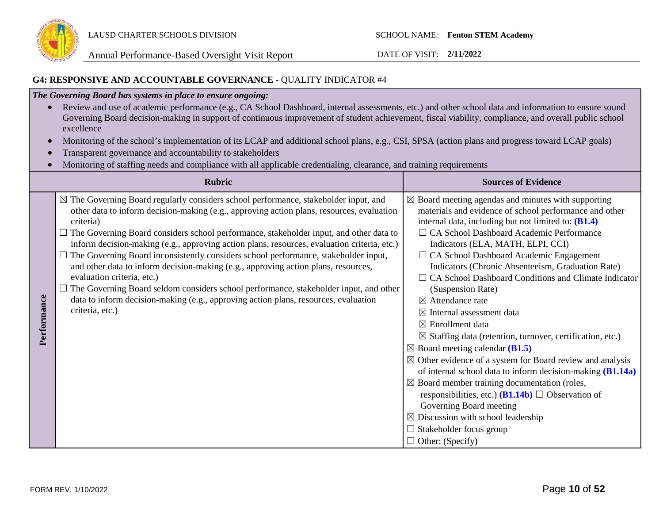

### **G4: RESPONSIVE AND ACCOUNTABLE GOVERNANCE** - QUALITY INDICATOR #4

### *The Governing Board has systems in place to ensure ongoing:*

- Review and use of academic performance (e.g., CA School Dashboard, internal assessments, etc.) and other school data and information to ensure sound Governing Board decision-making in support of continuous improvement of student achievement, fiscal viability, compliance, and overall public school excellence
- Monitoring of the school's implementation of its LCAP and additional school plans, e.g., CSI, SPSA (action plans and progress toward LCAP goals)
- Transparent governance and accountability to stakeholders
- Monitoring of staffing needs and compliance with all applicable credentialing, clearance, and training requirements

|             | <b>Rubric</b>                                                                                                                                                                                                                                                                                                                                                                                                                                                                                                                                                                                                                                                                                                                                                                                                   | <b>Sources of Evidence</b>                                                                                                                                                                                                                                                                                                                                                                                                                                                                                                                                                                                                                                                                                                                                                                                                                                                                                                                                                                                                                                                                           |
|-------------|-----------------------------------------------------------------------------------------------------------------------------------------------------------------------------------------------------------------------------------------------------------------------------------------------------------------------------------------------------------------------------------------------------------------------------------------------------------------------------------------------------------------------------------------------------------------------------------------------------------------------------------------------------------------------------------------------------------------------------------------------------------------------------------------------------------------|------------------------------------------------------------------------------------------------------------------------------------------------------------------------------------------------------------------------------------------------------------------------------------------------------------------------------------------------------------------------------------------------------------------------------------------------------------------------------------------------------------------------------------------------------------------------------------------------------------------------------------------------------------------------------------------------------------------------------------------------------------------------------------------------------------------------------------------------------------------------------------------------------------------------------------------------------------------------------------------------------------------------------------------------------------------------------------------------------|
| Performance | $\boxtimes$ The Governing Board regularly considers school performance, stakeholder input, and<br>other data to inform decision-making (e.g., approving action plans, resources, evaluation<br>criteria)<br>The Governing Board considers school performance, stakeholder input, and other data to<br>inform decision-making (e.g., approving action plans, resources, evaluation criteria, etc.)<br>The Governing Board inconsistently considers school performance, stakeholder input,<br>and other data to inform decision-making (e.g., approving action plans, resources,<br>evaluation criteria, etc.)<br>The Governing Board seldom considers school performance, stakeholder input, and other<br>data to inform decision-making (e.g., approving action plans, resources, evaluation<br>criteria, etc.) | $\boxtimes$ Board meeting agendas and minutes with supporting<br>materials and evidence of school performance and other<br>internal data, including but not limited to: (B1.4)<br>□ CA School Dashboard Academic Performance<br>Indicators (ELA, MATH, ELPI, CCI)<br>$\Box$ CA School Dashboard Academic Engagement<br>Indicators (Chronic Absenteeism, Graduation Rate)<br>$\Box$ CA School Dashboard Conditions and Climate Indicator<br>(Suspension Rate)<br>$\boxtimes$ Attendance rate<br>$\boxtimes$ Internal assessment data<br>$\boxtimes$ Enrollment data<br>$\boxtimes$ Staffing data (retention, turnover, certification, etc.)<br>$\boxtimes$ Board meeting calendar (B1.5)<br>$\boxtimes$ Other evidence of a system for Board review and analysis<br>of internal school data to inform decision-making (B1.14a)<br>$\boxtimes$ Board member training documentation (roles,<br>responsibilities, etc.) ( <b>B1.14b</b> ) $\Box$ Observation of<br>Governing Board meeting<br>$\boxtimes$ Discussion with school leadership<br>$\Box$ Stakeholder focus group<br>$\Box$ Other: (Specify) |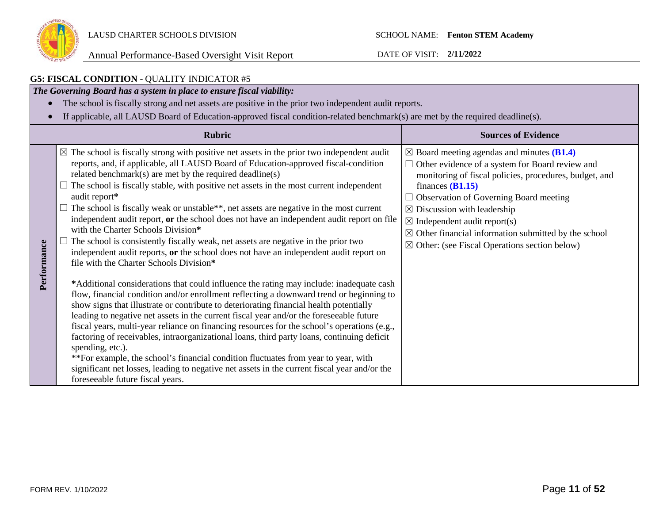

#### **G5: FISCAL CONDITION** - QUALITY INDICATOR #5 *The Governing Board has a system in place to ensure fiscal viability:* • The school is fiscally strong and net assets are positive in the prior two independent audit reports. • If applicable, all LAUSD Board of Education-approved fiscal condition-related benchmark(s) are met by the required deadline(s). **Rubric Sources of Evidence**  $\boxtimes$  The school is fiscally strong with positive net assets in the prior two independent audit ☒ Board meeting agendas and minutes **(B1.4)** reports, and, if applicable, all LAUSD Board of Education-approved fiscal-condition □ Other evidence of a system for Board review and related benchmark(s) are met by the required deadline(s) monitoring of fiscal policies, procedures, budget, and  $\Box$  The school is fiscally stable, with positive net assets in the most current independent finances **(B1.15)** audit report**\***  $\Box$  Observation of Governing Board meeting  $\Box$  The school is fiscally weak or unstable\*\*, net assets are negative in the most current  $\boxtimes$  Discussion with leadership independent audit report, **or** the school does not have an independent audit report on file  $\boxtimes$  Independent audit report(s) with the Charter Schools Division**\***  $\boxtimes$  Other financial information submitted by the school  $\Box$  The school is consistently fiscally weak, net assets are negative in the prior two Performance **Performance**  $\boxtimes$  Other: (see Fiscal Operations section below) independent audit reports, **or** the school does not have an independent audit report on file with the Charter Schools Division**\* \***Additional considerations that could influence the rating may include: inadequate cash flow, financial condition and/or enrollment reflecting a downward trend or beginning to show signs that illustrate or contribute to deteriorating financial health potentially leading to negative net assets in the current fiscal year and/or the foreseeable future fiscal years, multi-year reliance on financing resources for the school's operations (e.g., factoring of receivables, intraorganizational loans, third party loans, continuing deficit spending, etc.). \*\*For example, the school's financial condition fluctuates from year to year, with significant net losses, leading to negative net assets in the current fiscal year and/or the foreseeable future fiscal years.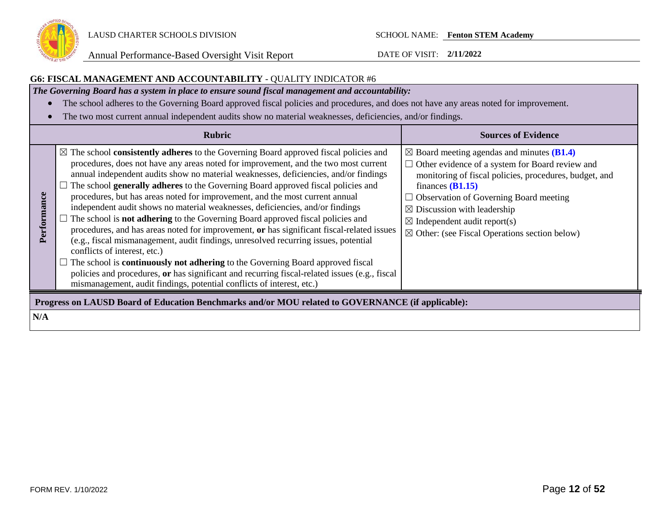

### **G6: FISCAL MANAGEMENT AND ACCOUNTABILITY** - QUALITY INDICATOR #6

*The Governing Board has a system in place to ensure sound fiscal management and accountability:*

- The school adheres to the Governing Board approved fiscal policies and procedures, and does not have any areas noted for improvement.
- The two most current annual independent audits show no material weaknesses, deficiencies, and/or findings.

|             | <b>Rubric</b>                                                                                                                                                                                                                                                                                                                                                                                                                                                                                                                                                                                                                                                                                                                                                                                                                                                                                                                                                                                                                                                                                                                            | <b>Sources of Evidence</b>                                                                                                                                                                                                                                                                                                                                                                       |
|-------------|------------------------------------------------------------------------------------------------------------------------------------------------------------------------------------------------------------------------------------------------------------------------------------------------------------------------------------------------------------------------------------------------------------------------------------------------------------------------------------------------------------------------------------------------------------------------------------------------------------------------------------------------------------------------------------------------------------------------------------------------------------------------------------------------------------------------------------------------------------------------------------------------------------------------------------------------------------------------------------------------------------------------------------------------------------------------------------------------------------------------------------------|--------------------------------------------------------------------------------------------------------------------------------------------------------------------------------------------------------------------------------------------------------------------------------------------------------------------------------------------------------------------------------------------------|
| Performance | $\boxtimes$ The school <b>consistently adheres</b> to the Governing Board approved fiscal policies and<br>procedures, does not have any areas noted for improvement, and the two most current<br>annual independent audits show no material weaknesses, deficiencies, and/or findings<br>The school generally adheres to the Governing Board approved fiscal policies and<br>procedures, but has areas noted for improvement, and the most current annual<br>independent audit shows no material weaknesses, deficiencies, and/or findings<br>$\Box$ The school is <b>not adhering</b> to the Governing Board approved fiscal policies and<br>procedures, and has areas noted for improvement, or has significant fiscal-related issues<br>(e.g., fiscal mismanagement, audit findings, unresolved recurring issues, potential<br>conflicts of interest, etc.)<br>$\Box$ The school is <b>continuously not adhering</b> to the Governing Board approved fiscal<br>policies and procedures, or has significant and recurring fiscal-related issues (e.g., fiscal<br>mismanagement, audit findings, potential conflicts of interest, etc.) | $\boxtimes$ Board meeting agendas and minutes (B1.4)<br>$\Box$ Other evidence of a system for Board review and<br>monitoring of fiscal policies, procedures, budget, and<br>finances $(B1.15)$<br>$\Box$ Observation of Governing Board meeting<br>$\boxtimes$ Discussion with leadership<br>$\boxtimes$ Independent audit report(s)<br>$\boxtimes$ Other: (see Fiscal Operations section below) |
|             | Progress on LAUSD Board of Education Benchmarks and/or MOU related to GOVERNANCE (if applicable):                                                                                                                                                                                                                                                                                                                                                                                                                                                                                                                                                                                                                                                                                                                                                                                                                                                                                                                                                                                                                                        |                                                                                                                                                                                                                                                                                                                                                                                                  |
| N/A         |                                                                                                                                                                                                                                                                                                                                                                                                                                                                                                                                                                                                                                                                                                                                                                                                                                                                                                                                                                                                                                                                                                                                          |                                                                                                                                                                                                                                                                                                                                                                                                  |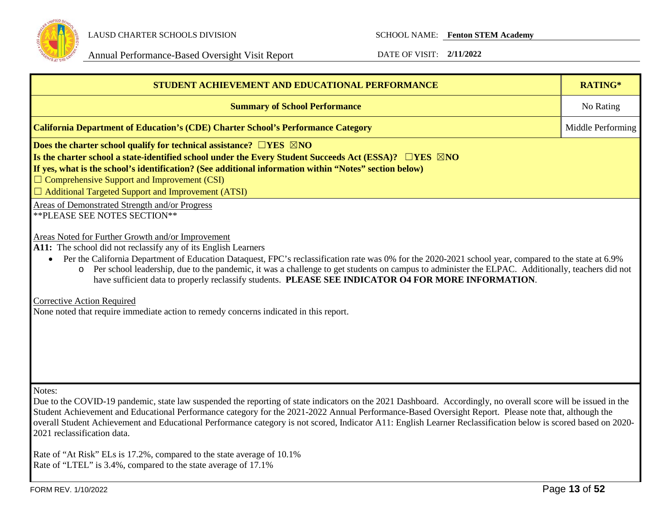

| STUDENT ACHIEVEMENT AND EDUCATIONAL PERFORMANCE                                                                                                                                                                                                                                                                                                                                                                                                                                                                                                                                                                                                                                  | RATING*           |  |  |  |
|----------------------------------------------------------------------------------------------------------------------------------------------------------------------------------------------------------------------------------------------------------------------------------------------------------------------------------------------------------------------------------------------------------------------------------------------------------------------------------------------------------------------------------------------------------------------------------------------------------------------------------------------------------------------------------|-------------------|--|--|--|
| <b>Summary of School Performance</b>                                                                                                                                                                                                                                                                                                                                                                                                                                                                                                                                                                                                                                             | No Rating         |  |  |  |
| <b>California Department of Education's (CDE) Charter School's Performance Category</b>                                                                                                                                                                                                                                                                                                                                                                                                                                                                                                                                                                                          | Middle Performing |  |  |  |
| Does the charter school qualify for technical assistance? $\Box$ YES $\boxtimes$ NO<br>Is the charter school a state-identified school under the Every Student Succeeds Act (ESSA)? $\Box$ YES $\boxtimes$ NO<br>If yes, what is the school's identification? (See additional information within "Notes" section below)<br>$\Box$ Comprehensive Support and Improvement (CSI)<br>$\Box$ Additional Targeted Support and Improvement (ATSI)                                                                                                                                                                                                                                       |                   |  |  |  |
| Areas of Demonstrated Strength and/or Progress<br>** PLEASE SEE NOTES SECTION**                                                                                                                                                                                                                                                                                                                                                                                                                                                                                                                                                                                                  |                   |  |  |  |
| Areas Noted for Further Growth and/or Improvement<br>A11: The school did not reclassify any of its English Learners<br>Per the California Department of Education Dataquest, FPC's reclassification rate was 0% for the 2020-2021 school year, compared to the state at 6.9%<br>Per school leadership, due to the pandemic, it was a challenge to get students on campus to administer the ELPAC. Additionally, teachers did not<br>$\circ$<br>have sufficient data to properly reclassify students. PLEASE SEE INDICATOR O4 FOR MORE INFORMATION.<br><b>Corrective Action Required</b><br>None noted that require immediate action to remedy concerns indicated in this report. |                   |  |  |  |
| Notes:<br>Due to the COVID-19 pandemic, state law suspended the reporting of state indicators on the 2021 Dashboard. Accordingly, no overall score will be issued in the<br>Student Achievement and Educational Performance category for the 2021-2022 Annual Performance-Based Oversight Report. Please note that, although the<br>overall Student Achievement and Educational Performance category is not scored, Indicator A11: English Learner Reclassification below is scored based on 2020-<br>2021 reclassification data.                                                                                                                                                |                   |  |  |  |
| Rate of "At Risk" ELs is 17.2%, compared to the state average of 10.1%<br>Rate of "LTEL" is 3.4%, compared to the state average of 17.1%                                                                                                                                                                                                                                                                                                                                                                                                                                                                                                                                         |                   |  |  |  |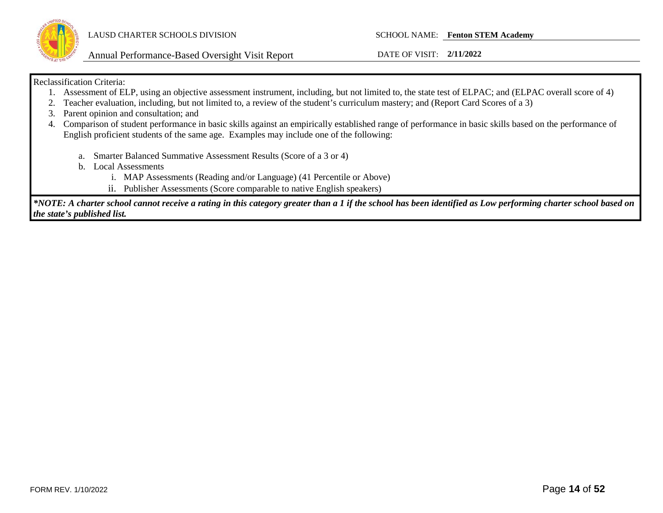

Annual Performance-Based Oversight Visit Report DATE OF VISIT: **2/11/2022**

### Reclassification Criteria:

- 1. Assessment of ELP, using an objective assessment instrument, including, but not limited to, the state test of ELPAC; and (ELPAC overall score of 4)
- 2. Teacher evaluation, including, but not limited to, a review of the student's curriculum mastery; and (Report Card Scores of a 3)
- 3. Parent opinion and consultation; and
- 4. Comparison of student performance in basic skills against an empirically established range of performance in basic skills based on the performance of English proficient students of the same age. Examples may include one of the following:
	- a. Smarter Balanced Summative Assessment Results (Score of a 3 or 4)
	- b. Local Assessments
		- i. MAP Assessments (Reading and/or Language) (41 Percentile or Above)
		- ii. Publisher Assessments (Score comparable to native English speakers)

*\*NOTE: A charter school cannot receive a rating in this category greater than a 1 if the school has been identified as Low performing charter school based on the state's published list.*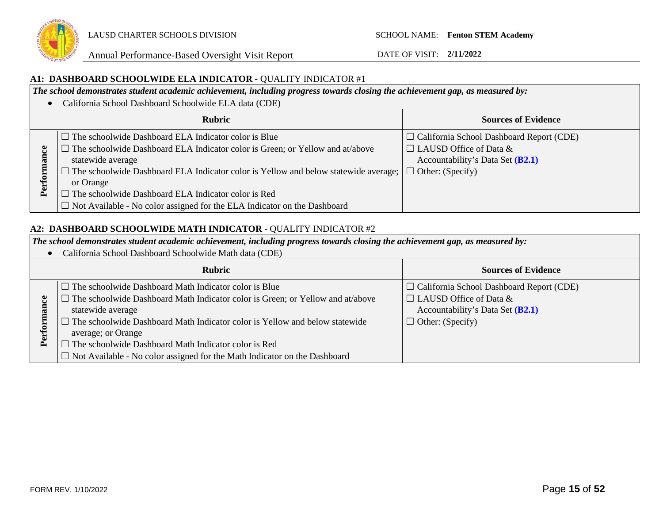

### **A1: DASHBOARD SCHOOLWIDE ELA INDICATOR -** QUALITY INDICATOR #1

*The school demonstrates student academic achievement, including progress towards closing the achievement gap, as measured by:*

|    | • California School Dashboard Schoolwide ELA data (CDE)                                    |                                                 |
|----|--------------------------------------------------------------------------------------------|-------------------------------------------------|
|    | <b>Rubric</b>                                                                              | <b>Sources of Evidence</b>                      |
|    | $\Box$ The schoolwide Dashboard ELA Indicator color is Blue                                | $\Box$ California School Dashboard Report (CDE) |
|    | The schoolwide Dashboard ELA Indicator color is Green; or Yellow and at/above              | $\Box$ LAUSD Office of Data &                   |
|    | statewide average                                                                          | Accountability's Data Set (B2.1)                |
|    | $\Box$ The schoolwide Dashboard ELA Indicator color is Yellow and below statewide average; | $\Box$ Other: (Specify)                         |
|    | or Orange                                                                                  |                                                 |
| Δ, | The schoolwide Dashboard ELA Indicator color is Red                                        |                                                 |
|    | $\Box$ Not Available - No color assigned for the ELA Indicator on the Dashboard            |                                                 |

### **A2: DASHBOARD SCHOOLWIDE MATH INDICATOR** - QUALITY INDICATOR #2

*The school demonstrates student academic achievement, including progress towards closing the achievement gap, as measured by:*

• California School Dashboard Schoolwide Math data (CDE)

| <b>Rubric</b>                                                                                                                                                                                                                                                                                                                    | <b>Sources of Evidence</b>                                                                                                                        |
|----------------------------------------------------------------------------------------------------------------------------------------------------------------------------------------------------------------------------------------------------------------------------------------------------------------------------------|---------------------------------------------------------------------------------------------------------------------------------------------------|
| $\Box$ The schoolwide Dashboard Math Indicator color is Blue<br>The schoolwide Dashboard Math Indicator color is Green; or Yellow and at/above<br>statewide average<br>The schoolwide Dashboard Math Indicator color is Yellow and below statewide<br>average; or Orange<br>The schoolwide Dashboard Math Indicator color is Red | $\Box$ California School Dashboard Report (CDE)<br>$\Box$ LAUSD Office of Data &<br>Accountability's Data Set $(B2.1)$<br>$\Box$ Other: (Specify) |
| $\Box$ Not Available - No color assigned for the Math Indicator on the Dashboard                                                                                                                                                                                                                                                 |                                                                                                                                                   |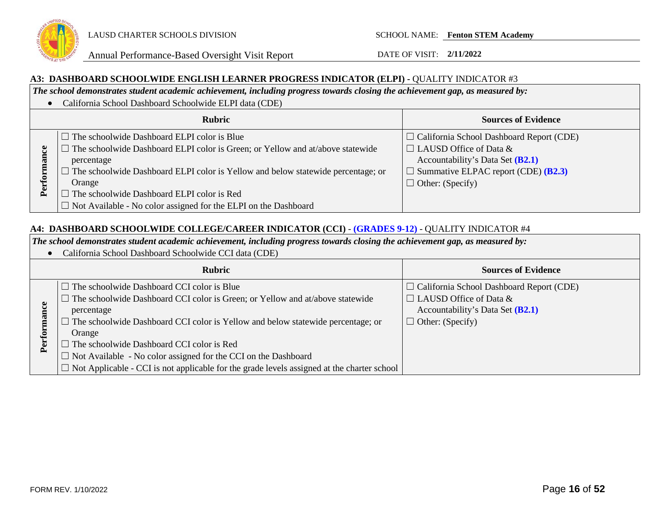

### **A3: DASHBOARD SCHOOLWIDE ENGLISH LEARNER PROGRESS INDICATOR (ELPI) -** QUALITY INDICATOR #3

*The school demonstrates student academic achievement, including progress towards closing the achievement gap, as measured by:*

• California School Dashboard Schoolwide ELPI data (CDE) **Rubric Sources of Evidence**  $\Box$  The schoolwide Dashboard ELPI color is Blue ☐ California School Dashboard Report (CDE)  $\Box$  The schoolwide Dashboard ELPI color is Green; or Yellow and at/above statewide  $\Box$  LAUSD Office of Data & Performance **Performance** Accountability's Data Set **(B2.1)** percentage  $\Box$  The schoolwide Dashboard ELPI color is Yellow and below statewide percentage; or ☐ Summative ELPAC report (CDE) **(B2.3)** Orange  $\Box$  Other: (Specify)  $\Box$  The schoolwide Dashboard ELPI color is Red □ Not Available - No color assigned for the ELPI on the Dashboard

### **A4: DASHBOARD SCHOOLWIDE COLLEGE/CAREER INDICATOR (CCI)** - **(GRADES 9-12)** - QUALITY INDICATOR #4

*The school demonstrates student academic achievement, including progress towards closing the achievement gap, as measured by:*

• California School Dashboard Schoolwide CCI data (CDE)

|              | <b>Rubric</b>                                                                                     | <b>Sources of Evidence</b>                      |
|--------------|---------------------------------------------------------------------------------------------------|-------------------------------------------------|
|              | $\Box$ The schoolwide Dashboard CCI color is Blue                                                 | $\Box$ California School Dashboard Report (CDE) |
|              | $\Box$ The schoolwide Dashboard CCI color is Green; or Yellow and at/above statewide              | $\Box$ LAUSD Office of Data &                   |
|              | percentage                                                                                        | Accountability's Data Set (B2.1)                |
|              | $\Box$ The schoolwide Dashboard CCI color is Yellow and below statewide percentage; or            | $\Box$ Other: (Specify)                         |
|              | Orange                                                                                            |                                                 |
| $P_{\rm el}$ | $\Box$ The schoolwide Dashboard CCI color is Red                                                  |                                                 |
|              | $\Box$ Not Available - No color assigned for the CCI on the Dashboard                             |                                                 |
|              | $\Box$ Not Applicable - CCI is not applicable for the grade levels assigned at the charter school |                                                 |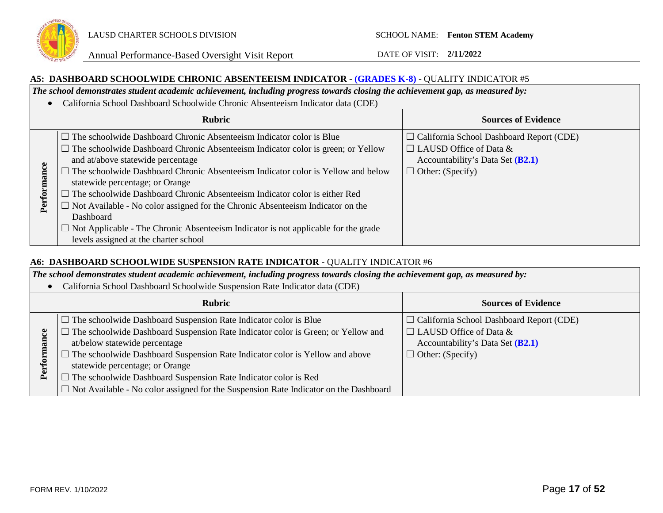

### **A5: DASHBOARD SCHOOLWIDE CHRONIC ABSENTEEISM INDICATOR** - **(GRADES K-8)** - QUALITY INDICATOR #5

*The school demonstrates student academic achievement, including progress towards closing the achievement gap, as measured by:*

• California School Dashboard Schoolwide Chronic Absenteeism Indicator data (CDE)

|             | <b>Rubric</b>                                                                                                                                                                                                                                                                                                                                                                                                                                                                                                                                                                                                                                                                        | <b>Sources of Evidence</b>                                                                                                                        |
|-------------|--------------------------------------------------------------------------------------------------------------------------------------------------------------------------------------------------------------------------------------------------------------------------------------------------------------------------------------------------------------------------------------------------------------------------------------------------------------------------------------------------------------------------------------------------------------------------------------------------------------------------------------------------------------------------------------|---------------------------------------------------------------------------------------------------------------------------------------------------|
| ğ<br>Perfor | $\Box$ The schoolwide Dashboard Chronic Absenteeism Indicator color is Blue<br>$\Box$ The schoolwide Dashboard Chronic Absenteeism Indicator color is green; or Yellow<br>and at/above statewide percentage<br>$\Box$ The schoolwide Dashboard Chronic Absenteeism Indicator color is Yellow and below<br>statewide percentage; or Orange<br>The schoolwide Dashboard Chronic Absenteeism Indicator color is either Red<br>$\Box$<br>$\Box$ Not Available - No color assigned for the Chronic Absenteeism Indicator on the<br><b>Dashboard</b><br>$\Box$ Not Applicable - The Chronic Absenteeism Indicator is not applicable for the grade<br>levels assigned at the charter school | $\Box$ California School Dashboard Report (CDE)<br>$\Box$ LAUSD Office of Data &<br>Accountability's Data Set $(B2.1)$<br>$\Box$ Other: (Specify) |

### **A6: DASHBOARD SCHOOLWIDE SUSPENSION RATE INDICATOR** - QUALITY INDICATOR #6

*The school demonstrates student academic achievement, including progress towards closing the achievement gap, as measured by:*

• California School Dashboard Schoolwide Suspension Rate Indicator data (CDE)

|   | <b>Rubric</b>                                                                               | <b>Sources of Evidence</b>                      |  |  |
|---|---------------------------------------------------------------------------------------------|-------------------------------------------------|--|--|
|   | $\Box$ The schoolwide Dashboard Suspension Rate Indicator color is Blue                     | $\Box$ California School Dashboard Report (CDE) |  |  |
|   | The schoolwide Dashboard Suspension Rate Indicator color is Green; or Yellow and            | $\Box$ LAUSD Office of Data &                   |  |  |
|   | at/below statewide percentage                                                               | Accountability's Data Set $(B2.1)$              |  |  |
|   | The schoolwide Dashboard Suspension Rate Indicator color is Yellow and above                | $\Box$ Other: (Specify)                         |  |  |
| E | statewide percentage; or Orange                                                             |                                                 |  |  |
|   | The schoolwide Dashboard Suspension Rate Indicator color is Red                             |                                                 |  |  |
|   | $\Box$ Not Available - No color assigned for the Suspension Rate Indicator on the Dashboard |                                                 |  |  |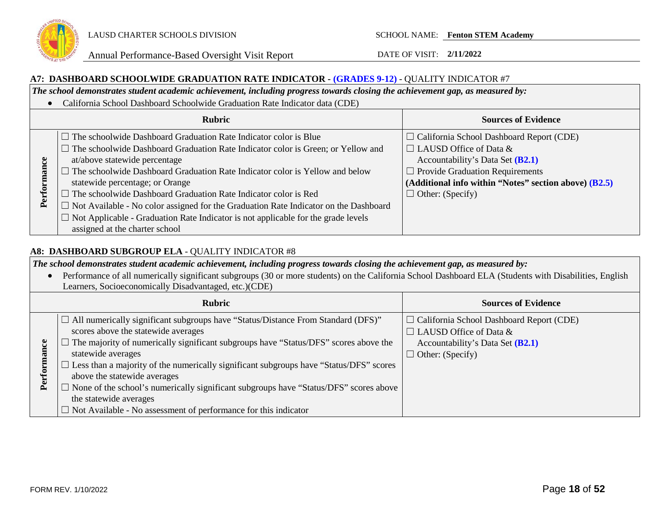

### **A7: DASHBOARD SCHOOLWIDE GRADUATION RATE INDICATOR - (GRADES 9-12)** - QUALITY INDICATOR #7

*The school demonstrates student academic achievement, including progress towards closing the achievement gap, as measured by:*

• California School Dashboard Schoolwide Graduation Rate Indicator data (CDE)

| <b>Rubric</b> |                                                                                                                                                                                                                                                                                                                                                                                                                                                                                                                                                                                                                                      | <b>Sources of Evidence</b>                                                                                                                                                                                                                           |
|---------------|--------------------------------------------------------------------------------------------------------------------------------------------------------------------------------------------------------------------------------------------------------------------------------------------------------------------------------------------------------------------------------------------------------------------------------------------------------------------------------------------------------------------------------------------------------------------------------------------------------------------------------------|------------------------------------------------------------------------------------------------------------------------------------------------------------------------------------------------------------------------------------------------------|
| Per           | $\Box$ The schoolwide Dashboard Graduation Rate Indicator color is Blue<br>$\Box$ The schoolwide Dashboard Graduation Rate Indicator color is Green; or Yellow and<br>at/above statewide percentage<br>$\Box$ The schoolwide Dashboard Graduation Rate Indicator color is Yellow and below<br>statewide percentage; or Orange<br>$\Box$ The schoolwide Dashboard Graduation Rate Indicator color is Red<br>$\Box$ Not Available - No color assigned for the Graduation Rate Indicator on the Dashboard<br>$\Box$ Not Applicable - Graduation Rate Indicator is not applicable for the grade levels<br>assigned at the charter school | $\Box$ California School Dashboard Report (CDE)<br>$\Box$ LAUSD Office of Data &<br>Accountability's Data Set $(B2.1)$<br>$\Box$ Provide Graduation Requirements<br>(Additional info within "Notes" section above) (B2.5)<br>$\Box$ Other: (Specify) |

### **A8: DASHBOARD SUBGROUP ELA** - QUALITY INDICATOR #8

*The school demonstrates student academic achievement, including progress towards closing the achievement gap, as measured by:*

• Performance of all numerically significant subgroups (30 or more students) on the California School Dashboard ELA (Students with Disabilities, English Learners, Socioeconomically Disadvantaged, etc.)(CDE) **Rubric Sources of Evidence**  $\Box$  All numerically significant subgroups have "Status/Distance From Standard (DFS)" ☐ California School Dashboard Report (CDE) scores above the statewide averages  $\Box$  LAUSD Office of Data &  $\Box$  The majority of numerically significant subgroups have "Status/DFS" scores above the Performance Accountability's Data Set **(B2.1) Performance** statewide averages  $\Box$  Other: (Specify)  $\square$  Less than a majority of the numerically significant subgroups have "Status/DFS" scores above the statewide averages  $\Box$  None of the school's numerically significant subgroups have "Status/DFS" scores above the statewide averages  $\Box$  Not Available - No assessment of performance for this indicator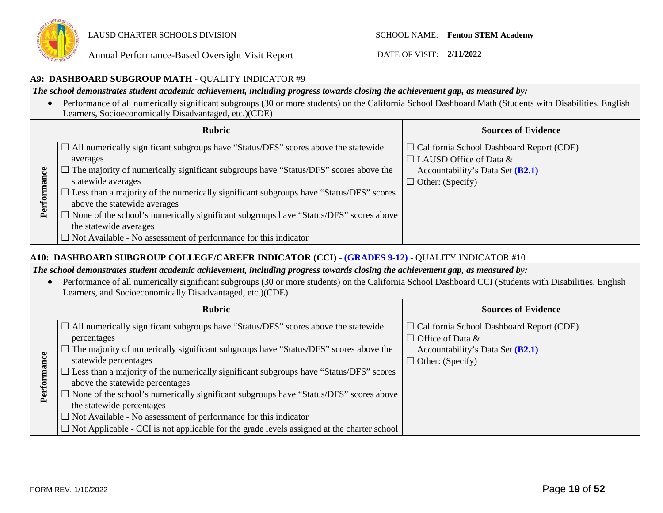

### **A9: DASHBOARD SUBGROUP MATH** - QUALITY INDICATOR #9

*The school demonstrates student academic achievement, including progress towards closing the achievement gap, as measured by:*

• Performance of all numerically significant subgroups (30 or more students) on the California School Dashboard Math (Students with Disabilities, English Learners, Socioeconomically Disadvantaged, etc.)(CDE)

|             | <b>Rubric</b>                                                                                                                                                                                                                                                                                                                                                                                                                                                                                                                                            | <b>Sources of Evidence</b>                                                                                                                      |
|-------------|----------------------------------------------------------------------------------------------------------------------------------------------------------------------------------------------------------------------------------------------------------------------------------------------------------------------------------------------------------------------------------------------------------------------------------------------------------------------------------------------------------------------------------------------------------|-------------------------------------------------------------------------------------------------------------------------------------------------|
| ဗ<br>Perfor | $\Box$ All numerically significant subgroups have "Status/DFS" scores above the statewide<br>averages<br>$\Box$ The majority of numerically significant subgroups have "Status/DFS" scores above the<br>statewide averages<br>$\Box$ Less than a majority of the numerically significant subgroups have "Status/DFS" scores<br>above the statewide averages<br>Mone of the school's numerically significant subgroups have "Status/DFS" scores above<br>the statewide averages<br>$\Box$ Not Available - No assessment of performance for this indicator | $\Box$ California School Dashboard Report (CDE)<br>$\Box$ LAUSD Office of Data &<br>Accountability's Data Set (B2.1)<br>$\Box$ Other: (Specify) |

### **A10: DASHBOARD SUBGROUP COLLEGE/CAREER INDICATOR (CCI)** - **(GRADES 9-12)** - QUALITY INDICATOR #10

*The school demonstrates student academic achievement, including progress towards closing the achievement gap, as measured by:*

• Performance of all numerically significant subgroups (30 or more students) on the California School Dashboard CCI (Students with Disabilities, English Learners, and Socioeconomically Disadvantaged, etc.)(CDE)

|                | <b>Rubric</b>                                                                                                                                                                                                                                                                                                                                                                                                                                                                                                                                                                                                                                                             | <b>Sources of Evidence</b>                                                                                                                  |
|----------------|---------------------------------------------------------------------------------------------------------------------------------------------------------------------------------------------------------------------------------------------------------------------------------------------------------------------------------------------------------------------------------------------------------------------------------------------------------------------------------------------------------------------------------------------------------------------------------------------------------------------------------------------------------------------------|---------------------------------------------------------------------------------------------------------------------------------------------|
| Ξ.<br>еrі<br>₫ | $\Box$ All numerically significant subgroups have "Status/DFS" scores above the statewide<br>percentages<br>The majority of numerically significant subgroups have "Status/DFS" scores above the<br>statewide percentages<br>$\Box$ Less than a majority of the numerically significant subgroups have "Status/DFS" scores<br>above the statewide percentages<br>$\Box$ None of the school's numerically significant subgroups have "Status/DFS" scores above<br>the statewide percentages<br>$\Box$ Not Available - No assessment of performance for this indicator<br>$\Box$ Not Applicable - CCI is not applicable for the grade levels assigned at the charter school | $\Box$ California School Dashboard Report (CDE)<br>$\Box$ Office of Data &<br>Accountability's Data Set $(B2.1)$<br>$\Box$ Other: (Specify) |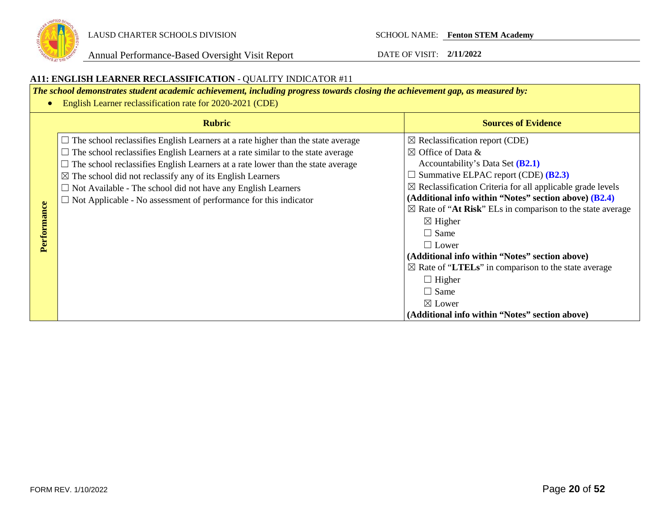

#### **A11: ENGLISH LEARNER RECLASSIFICATION** - QUALITY INDICATOR #11 *The school demonstrates student academic achievement, including progress towards closing the achievement gap, as measured by:* • English Learner reclassification rate for 2020-2021 (CDE) **Rubric Sources of Evidence**  $\Box$  The school reclassifies English Learners at a rate higher than the state average  $\boxtimes$  Reclassification report (CDE)  $\Box$  The school reclassifies English Learners at a rate similar to the state average  $\boxtimes$  Office of Data &  $\Box$  The school reclassifies English Learners at a rate lower than the state average Accountability's Data Set **(B2.1)** ☐ Summative ELPAC report (CDE) **(B2.3)**  $\boxtimes$  The school did not reclassify any of its English Learners  $\boxtimes$  Reclassification Criteria for all applicable grade levels  $\Box$  Not Available - The school did not have any English Learners **(Additional info within "Notes" section above) (B2.4)** ☐ Not Applicable - No assessment of performance for this indicator Performance **Performance**  $\boxtimes$  Rate of "At Risk" ELs in comparison to the state average  $\boxtimes$  Higher  $\Box$  Same  $\Box$  Lower **(Additional info within "Notes" section above)**  ☒ Rate of "**LTELs**" in comparison to the state average  $\Box$  Higher  $\Box$  Same ☒ Lower **(Additional info within "Notes" section above)**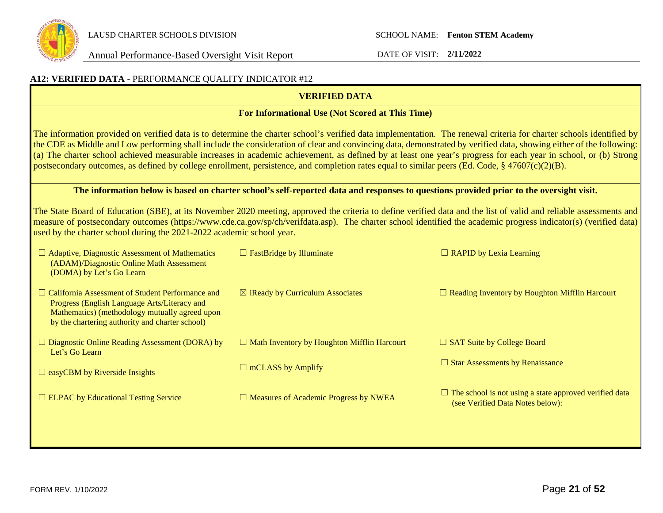

| A12: VERIFIED DATA - PERFORMANCE QUALITY INDICATOR #12                                                                                                                                                       |                                                                                                                                         |                                                                                                                                                                                                                                                                                                                                                                                                                                                                                                              |  |
|--------------------------------------------------------------------------------------------------------------------------------------------------------------------------------------------------------------|-----------------------------------------------------------------------------------------------------------------------------------------|--------------------------------------------------------------------------------------------------------------------------------------------------------------------------------------------------------------------------------------------------------------------------------------------------------------------------------------------------------------------------------------------------------------------------------------------------------------------------------------------------------------|--|
|                                                                                                                                                                                                              | <b>VERIFIED DATA</b>                                                                                                                    |                                                                                                                                                                                                                                                                                                                                                                                                                                                                                                              |  |
|                                                                                                                                                                                                              | For Informational Use (Not Scored at This Time)                                                                                         |                                                                                                                                                                                                                                                                                                                                                                                                                                                                                                              |  |
| postsecondary outcomes, as defined by college enrollment, persistence, and completion rates equal to similar peers (Ed. Code, $\S$ 47607(c)(2)(B).                                                           |                                                                                                                                         | The information provided on verified data is to determine the charter school's verified data implementation. The renewal criteria for charter schools identified by<br>the CDE as Middle and Low performing shall include the consideration of clear and convincing data, demonstrated by verified data, showing either of the following:<br>(a) The charter school achieved measurable increases in academic achievement, as defined by at least one year's progress for each year in school, or (b) Strong |  |
|                                                                                                                                                                                                              | The information below is based on charter school's self-reported data and responses to questions provided prior to the oversight visit. |                                                                                                                                                                                                                                                                                                                                                                                                                                                                                                              |  |
| used by the charter school during the 2021-2022 academic school year.                                                                                                                                        |                                                                                                                                         | The State Board of Education (SBE), at its November 2020 meeting, approved the criteria to define verified data and the list of valid and reliable assessments and<br>measure of postsecondary outcomes (https://www.cde.ca.gov/sp/ch/verifdata.asp). The charter school identified the academic progress indicator(s) (verified data)                                                                                                                                                                       |  |
| $\Box$ Adaptive, Diagnostic Assessment of Mathematics<br>(ADAM)/Diagnostic Online Math Assessment<br>(DOMA) by Let's Go Learn                                                                                | $\Box$ FastBridge by Illuminate                                                                                                         | $\Box$ RAPID by Lexia Learning                                                                                                                                                                                                                                                                                                                                                                                                                                                                               |  |
| $\Box$ California Assessment of Student Performance and<br>Progress (English Language Arts/Literacy and<br>Mathematics) (methodology mutually agreed upon<br>by the chartering authority and charter school) | $\boxtimes$ iReady by Curriculum Associates                                                                                             | $\Box$ Reading Inventory by Houghton Mifflin Harcourt                                                                                                                                                                                                                                                                                                                                                                                                                                                        |  |
| $\Box$ Diagnostic Online Reading Assessment (DORA) by<br>Let's Go Learn                                                                                                                                      | $\Box$ Math Inventory by Houghton Mifflin Harcourt                                                                                      | $\Box$ SAT Suite by College Board                                                                                                                                                                                                                                                                                                                                                                                                                                                                            |  |
| $\Box$ easyCBM by Riverside Insights                                                                                                                                                                         | $\Box$ mCLASS by Amplify                                                                                                                | $\Box$ Star Assessments by Renaissance                                                                                                                                                                                                                                                                                                                                                                                                                                                                       |  |
| $\Box$ ELPAC by Educational Testing Service                                                                                                                                                                  | $\Box$ Measures of Academic Progress by NWEA                                                                                            | $\Box$ The school is not using a state approved verified data<br>(see Verified Data Notes below):                                                                                                                                                                                                                                                                                                                                                                                                            |  |
|                                                                                                                                                                                                              |                                                                                                                                         |                                                                                                                                                                                                                                                                                                                                                                                                                                                                                                              |  |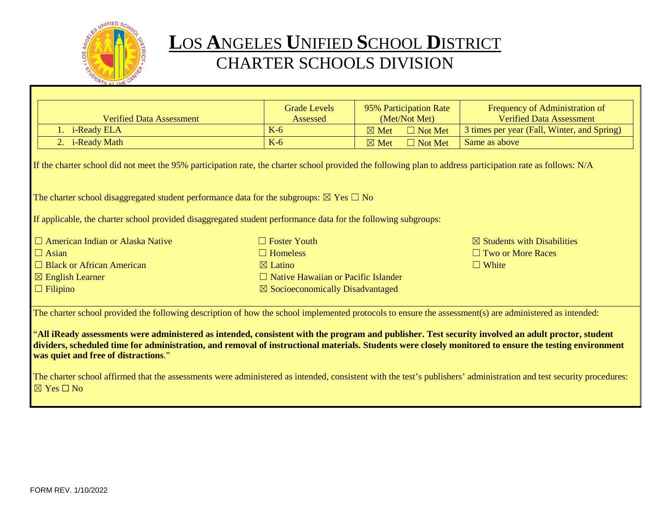

# **L**OS **A**NGELES **U**NIFIED **S**CHOOL **D**ISTRICT CHARTER SCHOOLS DIVISION

|                                                                                                                                                                                                                                                                                                                                                      | <b>Grade Levels</b>                         | 95% Participation Rate            | Frequency of Administration of              |  |
|------------------------------------------------------------------------------------------------------------------------------------------------------------------------------------------------------------------------------------------------------------------------------------------------------------------------------------------------------|---------------------------------------------|-----------------------------------|---------------------------------------------|--|
| <b>Verified Data Assessment</b>                                                                                                                                                                                                                                                                                                                      | Assessed                                    | (Met/Not Met)                     | <b>Verified Data Assessment</b>             |  |
| 1. i-Ready ELA                                                                                                                                                                                                                                                                                                                                       | $K-6$                                       | $\boxtimes$ Met<br>$\Box$ Not Met | 3 times per year (Fall, Winter, and Spring) |  |
| 2. i-Ready Math                                                                                                                                                                                                                                                                                                                                      | $K-6$                                       | $\Box$ Not Met<br>$\boxtimes$ Met | Same as above                               |  |
| If the charter school did not meet the 95% participation rate, the charter school provided the following plan to address participation rate as follows: N/A                                                                                                                                                                                          |                                             |                                   |                                             |  |
| The charter school disaggregated student performance data for the subgroups: $\boxtimes$ Yes $\Box$ No                                                                                                                                                                                                                                               |                                             |                                   |                                             |  |
| If applicable, the charter school provided disaggregated student performance data for the following subgroups:                                                                                                                                                                                                                                       |                                             |                                   |                                             |  |
| $\Box$ American Indian or Alaska Native                                                                                                                                                                                                                                                                                                              | $\Box$ Foster Youth                         |                                   | $\boxtimes$ Students with Disabilities      |  |
| $\Box$ Asian                                                                                                                                                                                                                                                                                                                                         | $\Box$ Homeless                             |                                   | $\Box$ Two or More Races                    |  |
| $\Box$ Black or African American                                                                                                                                                                                                                                                                                                                     | $\boxtimes$ Latino                          |                                   | $\Box$ White                                |  |
| $\boxtimes$ English Learner                                                                                                                                                                                                                                                                                                                          | $\Box$ Native Hawaiian or Pacific Islander  |                                   |                                             |  |
| $\Box$ Filipino                                                                                                                                                                                                                                                                                                                                      | $\boxtimes$ Socioeconomically Disadvantaged |                                   |                                             |  |
| The charter school provided the following description of how the school implemented protocols to ensure the assessment(s) are administered as intended:                                                                                                                                                                                              |                                             |                                   |                                             |  |
| "All iReady assessments were administered as intended, consistent with the program and publisher. Test security involved an adult proctor, student<br>dividers, scheduled time for administration, and removal of instructional materials. Students were closely monitored to ensure the testing environment<br>was quiet and free of distractions." |                                             |                                   |                                             |  |
| The charter school affirmed that the assessments were administered as intended, consistent with the test's publishers' administration and test security procedures:<br>$\boxtimes$ Yes $\Box$ No                                                                                                                                                     |                                             |                                   |                                             |  |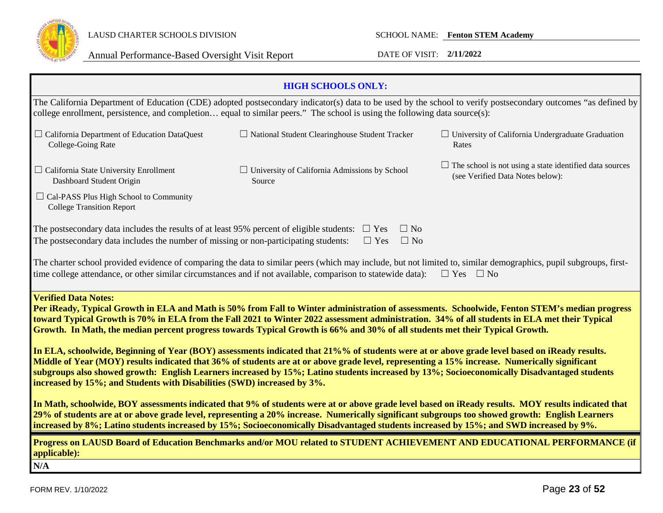

| <b>HIGH SCHOOLS ONLY:</b>                                                                                                                                                                                                                                                                                                                                                                                                                                                                                                                                                                                       |                                                                |                                                                                                                           |  |  |
|-----------------------------------------------------------------------------------------------------------------------------------------------------------------------------------------------------------------------------------------------------------------------------------------------------------------------------------------------------------------------------------------------------------------------------------------------------------------------------------------------------------------------------------------------------------------------------------------------------------------|----------------------------------------------------------------|---------------------------------------------------------------------------------------------------------------------------|--|--|
| The California Department of Education (CDE) adopted postsecondary indicator(s) data to be used by the school to verify postsecondary outcomes "as defined by<br>college enrollment, persistence, and completion equal to similar peers." The school is using the following data source(s):                                                                                                                                                                                                                                                                                                                     |                                                                |                                                                                                                           |  |  |
| $\Box$ California Department of Education DataQuest<br>College-Going Rate                                                                                                                                                                                                                                                                                                                                                                                                                                                                                                                                       | $\Box$ National Student Clearinghouse Student Tracker          | $\Box$ University of California Undergraduate Graduation<br>Rates                                                         |  |  |
| $\Box$ California State University Enrollment<br>Dashboard Student Origin                                                                                                                                                                                                                                                                                                                                                                                                                                                                                                                                       | $\Box$ University of California Admissions by School<br>Source | $\Box$ The school is not using a state identified data sources<br>(see Verified Data Notes below):                        |  |  |
| $\Box$ Cal-PASS Plus High School to Community<br><b>College Transition Report</b>                                                                                                                                                                                                                                                                                                                                                                                                                                                                                                                               |                                                                |                                                                                                                           |  |  |
| The postsecondary data includes the results of at least 95% percent of eligible students:<br>The postsecondary data includes the number of missing or non-participating students:                                                                                                                                                                                                                                                                                                                                                                                                                               | $\Box$ No<br>$\Box$ Yes<br>$\Box$ Yes<br>$\Box$ No             |                                                                                                                           |  |  |
| The charter school provided evidence of comparing the data to similar peers (which may include, but not limited to, similar demographics, pupil subgroups, first-<br>time college attendance, or other similar circumstances and if not available, comparison to statewide data):                                                                                                                                                                                                                                                                                                                               |                                                                | $\Box$ Yes $\Box$ No                                                                                                      |  |  |
| <b>Verified Data Notes:</b><br>Per iReady, Typical Growth in ELA and Math is 50% from Fall to Winter administration of assessments. Schoolwide, Fenton STEM's median progress<br>toward Typical Growth is 70% in ELA from the Fall 2021 to Winter 2022 assessment administration. 34% of all students in ELA met their Typical<br>Growth. In Math, the median percent progress towards Typical Growth is 66% and 30% of all students met their Typical Growth.<br>In ELA, schoolwide, Beginning of Year (BOY) assessments indicated that 21%% of students were at or above grade level based on iReady results. |                                                                |                                                                                                                           |  |  |
| Middle of Year (MOY) results indicated that 36% of students are at or above grade level, representing a 15% increase. Numerically significant<br>subgroups also showed growth: English Learners increased by 15%; Latino students increased by 13%; Socioeconomically Disadvantaged students<br>increased by 15%; and Students with Disabilities (SWD) increased by 3%.                                                                                                                                                                                                                                         |                                                                |                                                                                                                           |  |  |
| In Math, schoolwide, BOY assessments indicated that 9% of students were at or above grade level based on iReady results. MOY results indicated that<br>29% of students are at or above grade level, representing a 20% increase. Numerically significant subgroups too showed growth: English Learners<br>increased by 8%; Latino students increased by 15%; Socioeconomically Disadvantaged students increased by 15%; and SWD increased by 9%.                                                                                                                                                                |                                                                |                                                                                                                           |  |  |
| applicable):                                                                                                                                                                                                                                                                                                                                                                                                                                                                                                                                                                                                    |                                                                | Progress on LAUSD Board of Education Benchmarks and/or MOU related to STUDENT ACHIEVEMENT AND EDUCATIONAL PERFORMANCE (if |  |  |
| N/A                                                                                                                                                                                                                                                                                                                                                                                                                                                                                                                                                                                                             |                                                                |                                                                                                                           |  |  |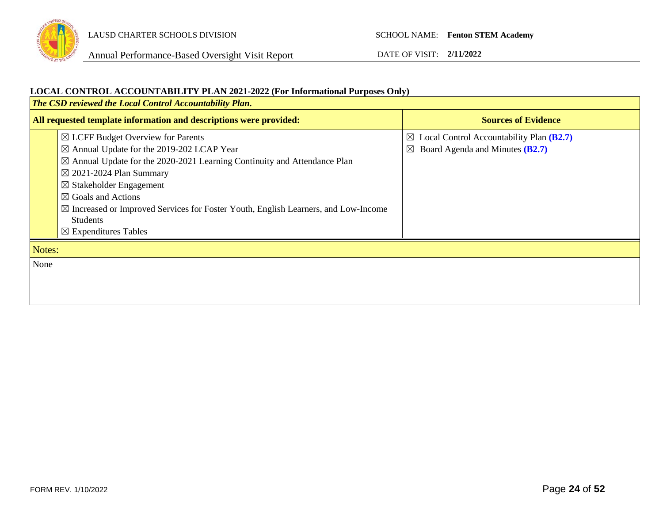

Annual Performance-Based Oversight Visit Report DATE OF VISIT: **2/11/2022**

### **LOCAL CONTROL ACCOUNTABILITY PLAN 2021-2022 (For Informational Purposes Only)**

| The CSD reviewed the Local Control Accountability Plan. |                                                                                               |                                                      |  |
|---------------------------------------------------------|-----------------------------------------------------------------------------------------------|------------------------------------------------------|--|
|                                                         | All requested template information and descriptions were provided:                            | <b>Sources of Evidence</b>                           |  |
|                                                         | $\boxtimes$ LCFF Budget Overview for Parents                                                  | $\boxtimes$ Local Control Accountability Plan (B2.7) |  |
|                                                         | ⊠ Annual Update for the 2019-202 LCAP Year                                                    | Board Agenda and Minutes (B2.7)<br>$\boxtimes$       |  |
|                                                         | $\boxtimes$ Annual Update for the 2020-2021 Learning Continuity and Attendance Plan           |                                                      |  |
|                                                         | $\boxtimes$ 2021-2024 Plan Summary                                                            |                                                      |  |
|                                                         | $\boxtimes$ Stakeholder Engagement                                                            |                                                      |  |
|                                                         | $\boxtimes$ Goals and Actions                                                                 |                                                      |  |
|                                                         | $\boxtimes$ Increased or Improved Services for Foster Youth, English Learners, and Low-Income |                                                      |  |
|                                                         | <b>Students</b>                                                                               |                                                      |  |
|                                                         | $\boxtimes$ Expenditures Tables                                                               |                                                      |  |
| Notes:                                                  |                                                                                               |                                                      |  |
| None                                                    |                                                                                               |                                                      |  |
|                                                         |                                                                                               |                                                      |  |
|                                                         |                                                                                               |                                                      |  |
|                                                         |                                                                                               |                                                      |  |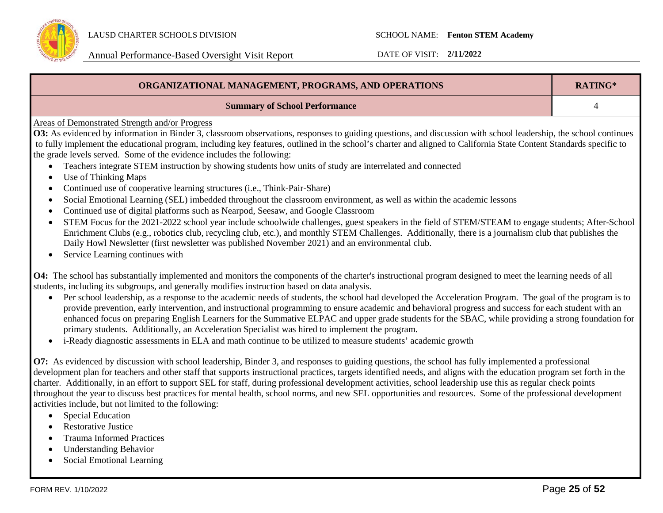

| ORGANIZATIONAL MANAGEMENT, PROGRAMS, AND OPERATIONS                                                                                                                                                                                                                                                                                                                                                                                                                                                                                                                                                                                                                                                                                                                                                                                                                                                                                                                                                                                                                                                                                                                                                                                                                                                                                                                                                        |   |  |
|------------------------------------------------------------------------------------------------------------------------------------------------------------------------------------------------------------------------------------------------------------------------------------------------------------------------------------------------------------------------------------------------------------------------------------------------------------------------------------------------------------------------------------------------------------------------------------------------------------------------------------------------------------------------------------------------------------------------------------------------------------------------------------------------------------------------------------------------------------------------------------------------------------------------------------------------------------------------------------------------------------------------------------------------------------------------------------------------------------------------------------------------------------------------------------------------------------------------------------------------------------------------------------------------------------------------------------------------------------------------------------------------------------|---|--|
| <b>Summary of School Performance</b>                                                                                                                                                                                                                                                                                                                                                                                                                                                                                                                                                                                                                                                                                                                                                                                                                                                                                                                                                                                                                                                                                                                                                                                                                                                                                                                                                                       | 4 |  |
| Areas of Demonstrated Strength and/or Progress<br>O3: As evidenced by information in Binder 3, classroom observations, responses to guiding questions, and discussion with school leadership, the school continues<br>to fully implement the educational program, including key features, outlined in the school's charter and aligned to California State Content Standards specific to<br>the grade levels served. Some of the evidence includes the following:<br>Teachers integrate STEM instruction by showing students how units of study are interrelated and connected<br>Use of Thinking Maps<br>Continued use of cooperative learning structures (i.e., Think-Pair-Share)<br>Social Emotional Learning (SEL) imbedded throughout the classroom environment, as well as within the academic lessons<br>$\bullet$<br>Continued use of digital platforms such as Nearpod, Seesaw, and Google Classroom<br>$\bullet$<br>STEM Focus for the 2021-2022 school year include schoolwide challenges, guest speakers in the field of STEM/STEAM to engage students; After-School<br>$\bullet$<br>Enrichment Clubs (e.g., robotics club, recycling club, etc.), and monthly STEM Challenges. Additionally, there is a journalism club that publishes the<br>Daily Howl Newsletter (first newsletter was published November 2021) and an environmental club.<br>Service Learning continues with<br>$\bullet$ |   |  |
| O4: The school has substantially implemented and monitors the components of the charter's instructional program designed to meet the learning needs of all<br>students, including its subgroups, and generally modifies instruction based on data analysis.<br>Per school leadership, as a response to the academic needs of students, the school had developed the Acceleration Program. The goal of the program is to<br>$\bullet$<br>provide prevention, early intervention, and instructional programming to ensure academic and behavioral progress and success for each student with an<br>enhanced focus on preparing English Learners for the Summative ELPAC and upper grade students for the SBAC, while providing a strong foundation for<br>primary students. Additionally, an Acceleration Specialist was hired to implement the program.<br>i-Ready diagnostic assessments in ELA and math continue to be utilized to measure students' academic growth<br>$\bullet$<br>O7: As evidenced by discussion with school leadership, Binder 3, and responses to guiding questions, the school has fully implemented a professional<br>development plan for teachers and other staff that supports instructional practices, targets identified needs, and aligns with the education program set forth in the                                                                                        |   |  |
| charter. Additionally, in an effort to support SEL for staff, during professional development activities, school leadership use this as regular check points<br>throughout the year to discuss best practices for mental health, school norms, and new SEL opportunities and resources. Some of the professional development                                                                                                                                                                                                                                                                                                                                                                                                                                                                                                                                                                                                                                                                                                                                                                                                                                                                                                                                                                                                                                                                               |   |  |

- activities include, but not limited to the following: • Special Education
	- Restorative Justice
	- Trauma Informed Practices
	- Understanding Behavior
	- Social Emotional Learning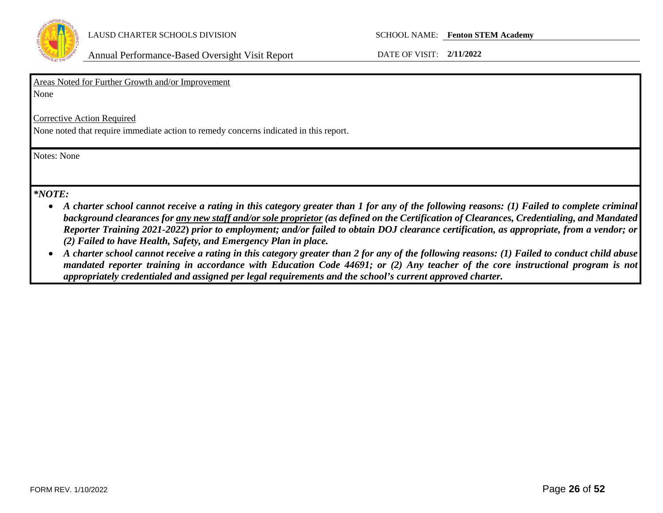

|  | Areas Noted for Further Growth and/or Improvement |  |
|--|---------------------------------------------------|--|
|  |                                                   |  |

None

Corrective Action Required

None noted that require immediate action to remedy concerns indicated in this report.

Notes: None

### *\*NOTE:*

- *A charter school cannot receive a rating in this category greater than 1 for any of the following reasons: (1) Failed to complete criminal background clearances for any new staff and/or sole proprietor (as defined on the Certification of Clearances, Credentialing, and Mandated Reporter Training 2021-2022***)** *prior to employment; and/or failed to obtain DOJ clearance certification, as appropriate, from a vendor; or (2) Failed to have Health, Safety, and Emergency Plan in place.*
- *A charter school cannot receive a rating in this category greater than 2 for any of the following reasons: (1) Failed to conduct child abuse mandated reporter training in accordance with Education Code 44691; or (2) Any teacher of the core instructional program is not appropriately credentialed and assigned per legal requirements and the school's current approved charter.*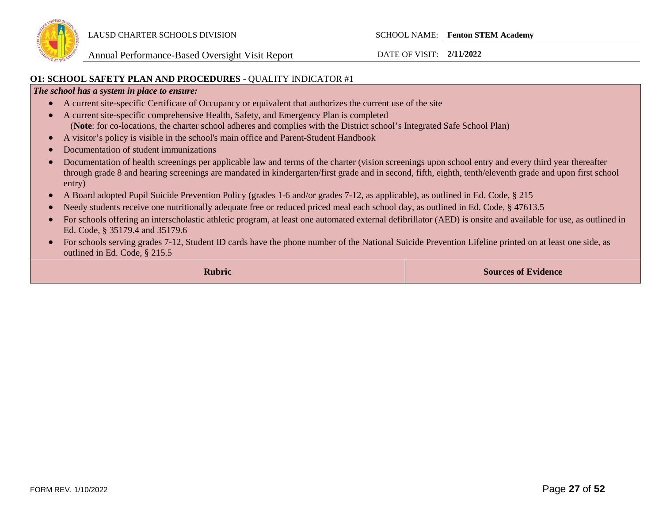

#### **O1: SCHOOL SAFETY PLAN AND PROCEDURES** - QUALITY INDICATOR #1

#### *The school has a system in place to ensure:*

- A current site-specific Certificate of Occupancy or equivalent that authorizes the current use of the site
- A current site-specific comprehensive Health, Safety, and Emergency Plan is completed (**Note**: for co-locations, the charter school adheres and complies with the District school's Integrated Safe School Plan)
- A visitor's policy is visible in the school's main office and Parent-Student Handbook
- Documentation of student immunizations
- Documentation of health screenings per applicable law and terms of the charter (vision screenings upon school entry and every third year thereafter through grade 8 and hearing screenings are mandated in kindergarten/first grade and in second, fifth, eighth, tenth/eleventh grade and upon first school entry)
- A Board adopted Pupil Suicide Prevention Policy (grades 1-6 and/or grades 7-12, as applicable), as outlined in Ed. Code, § 215
- Needy students receive one nutritionally adequate free or reduced priced meal each school day, as outlined in Ed. Code, § 47613.5
- For schools offering an interscholastic athletic program, at least one automated external defibrillator (AED) is onsite and available for use, as outlined in Ed. Code, § 35179.4 and 35179.6
- For schools serving grades 7-12, Student ID cards have the phone number of the National Suicide Prevention Lifeline printed on at least one side, as outlined in Ed. Code, § 215.5

**Rubric Sources of Evidence Sources of Evidence**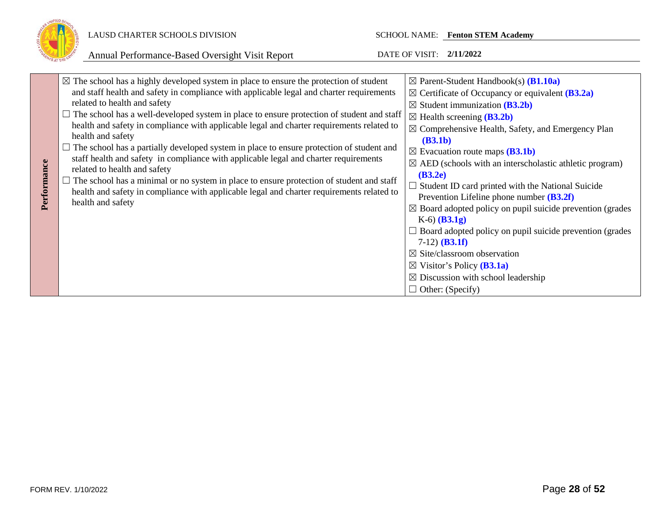

### LAUSD CHARTER SCHOOLS DIVISION SCHOOL NAME: **Fenton STEM Academy**

| Performance | $\boxtimes$ The school has a highly developed system in place to ensure the protection of student<br>and staff health and safety in compliance with applicable legal and charter requirements<br>related to health and safety<br>$\Box$ The school has a well-developed system in place to ensure protection of student and staff<br>health and safety in compliance with applicable legal and charter requirements related to<br>health and safety<br>$\Box$ The school has a partially developed system in place to ensure protection of student and<br>staff health and safety in compliance with applicable legal and charter requirements<br>related to health and safety<br>$\Box$ The school has a minimal or no system in place to ensure protection of student and staff<br>health and safety in compliance with applicable legal and charter requirements related to<br>health and safety | $\boxtimes$ Parent-Student Handbook(s) ( <b>B1.10a</b> )<br>$\boxtimes$ Certificate of Occupancy or equivalent ( <b>B3.2a</b> )<br>$\boxtimes$ Student immunization (B3.2b)<br>$\boxtimes$ Health screening ( <b>B3.2b</b> )<br>$\boxtimes$ Comprehensive Health, Safety, and Emergency Plan<br>(B3.1b)<br>$\boxtimes$ Evacuation route maps ( <b>B3.1b</b> )<br>$\boxtimes$ AED (schools with an interscholastic athletic program)<br>(B3.2e)<br>$\Box$ Student ID card printed with the National Suicide<br>Prevention Lifeline phone number $(B3.2f)$<br>$\boxtimes$ Board adopted policy on pupil suicide prevention (grades)<br>$K-6$ (B3.1g)<br>$\Box$ Board adopted policy on pupil suicide prevention (grades) |
|-------------|-----------------------------------------------------------------------------------------------------------------------------------------------------------------------------------------------------------------------------------------------------------------------------------------------------------------------------------------------------------------------------------------------------------------------------------------------------------------------------------------------------------------------------------------------------------------------------------------------------------------------------------------------------------------------------------------------------------------------------------------------------------------------------------------------------------------------------------------------------------------------------------------------------|------------------------------------------------------------------------------------------------------------------------------------------------------------------------------------------------------------------------------------------------------------------------------------------------------------------------------------------------------------------------------------------------------------------------------------------------------------------------------------------------------------------------------------------------------------------------------------------------------------------------------------------------------------------------------------------------------------------------|
|             |                                                                                                                                                                                                                                                                                                                                                                                                                                                                                                                                                                                                                                                                                                                                                                                                                                                                                                     | $7-12)$ ( <b>B3.1f</b> )<br>$\boxtimes$ Site/classroom observation<br>$\boxtimes$ Visitor's Policy ( <b>B3.1a</b> )<br>$\boxtimes$ Discussion with school leadership<br>$\Box$ Other: (Specify)                                                                                                                                                                                                                                                                                                                                                                                                                                                                                                                        |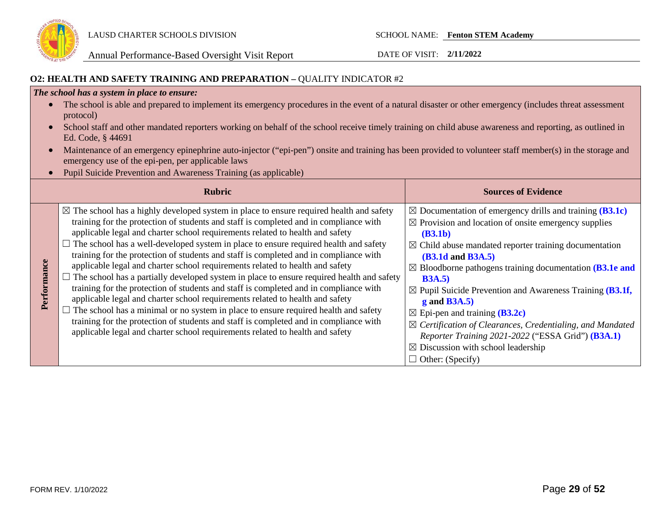

### **O2: HEALTH AND SAFETY TRAINING AND PREPARATION –** QUALITY INDICATOR #2

#### *The school has a system in place to ensure:*

- The school is able and prepared to implement its emergency procedures in the event of a natural disaster or other emergency (includes threat assessment protocol)
- School staff and other mandated reporters working on behalf of the school receive timely training on child abuse awareness and reporting, as outlined in Ed. Code, § 44691
- Maintenance of an emergency epinephrine auto-injector ("epi-pen") onsite and training has been provided to volunteer staff member(s) in the storage and emergency use of the epi-pen, per applicable laws
- Pupil Suicide Prevention and Awareness Training (as applicable)

|             | <b>Rubric</b>                                                                                                                                                                                                                                                                                                                                                                                                                                                                                                                                                                                                                                                                                                                                                                                                                                                                                                                                                                                                                                                                                 | <b>Sources of Evidence</b>                                                                                                                                                                                                                                                                                                                                                                                                                                                                                                                                                                                                                                                                     |
|-------------|-----------------------------------------------------------------------------------------------------------------------------------------------------------------------------------------------------------------------------------------------------------------------------------------------------------------------------------------------------------------------------------------------------------------------------------------------------------------------------------------------------------------------------------------------------------------------------------------------------------------------------------------------------------------------------------------------------------------------------------------------------------------------------------------------------------------------------------------------------------------------------------------------------------------------------------------------------------------------------------------------------------------------------------------------------------------------------------------------|------------------------------------------------------------------------------------------------------------------------------------------------------------------------------------------------------------------------------------------------------------------------------------------------------------------------------------------------------------------------------------------------------------------------------------------------------------------------------------------------------------------------------------------------------------------------------------------------------------------------------------------------------------------------------------------------|
| Performance | $\boxtimes$ The school has a highly developed system in place to ensure required health and safety<br>training for the protection of students and staff is completed and in compliance with<br>applicable legal and charter school requirements related to health and safety<br>The school has a well-developed system in place to ensure required health and safety<br>training for the protection of students and staff is completed and in compliance with<br>applicable legal and charter school requirements related to health and safety<br>$\Box$ The school has a partially developed system in place to ensure required health and safety<br>training for the protection of students and staff is completed and in compliance with<br>applicable legal and charter school requirements related to health and safety<br>The school has a minimal or no system in place to ensure required health and safety<br>training for the protection of students and staff is completed and in compliance with<br>applicable legal and charter school requirements related to health and safety | $\boxtimes$ Documentation of emergency drills and training (B3.1c)<br>$\boxtimes$ Provision and location of onsite emergency supplies<br>(B3.1b)<br>$\boxtimes$ Child abuse mandated reporter training documentation<br><b>(B3.1d and B3A.5)</b><br>$\boxtimes$ Bloodborne pathogens training documentation ( <b>B3.1e and</b><br>B3A.5<br>$\boxtimes$ Pupil Suicide Prevention and Awareness Training (B3.1f,<br>$g$ and B3A.5)<br>$\boxtimes$ Epi-pen and training ( <b>B3.2c</b> )<br>$\boxtimes$ Certification of Clearances, Credentialing, and Mandated<br>Reporter Training 2021-2022 ("ESSA Grid") (B3A.1)<br>$\boxtimes$ Discussion with school leadership<br>$\Box$ Other: (Specify) |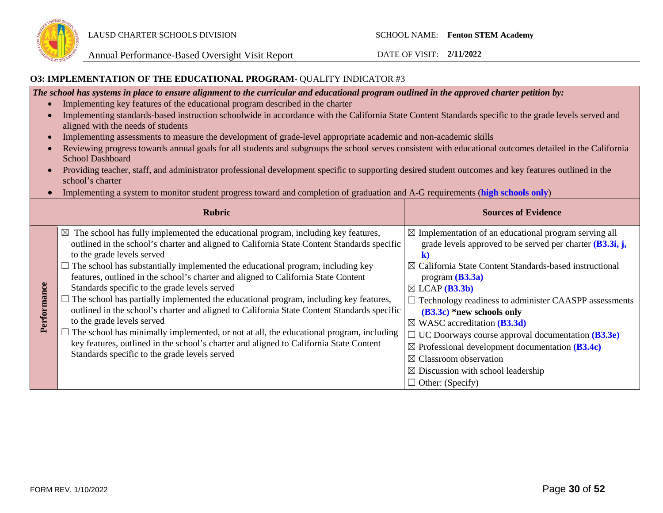

#### **O3: IMPLEMENTATION OF THE EDUCATIONAL PROGRAM**- QUALITY INDICATOR #3

*The school has systems in place to ensure alignment to the curricular and educational program outlined in the approved charter petition by:*

- Implementing key features of the educational program described in the charter
- Implementing standards-based instruction schoolwide in accordance with the California State Content Standards specific to the grade levels served and aligned with the needs of students
- Implementing assessments to measure the development of grade-level appropriate academic and non-academic skills
- Reviewing progress towards annual goals for all students and subgroups the school serves consistent with educational outcomes detailed in the California School Dashboard
- Providing teacher, staff, and administrator professional development specific to supporting desired student outcomes and key features outlined in the school's charter
- Implementing a system to monitor student progress toward and completion of graduation and A-G requirements (**high schools only**)

| <b>Rubric</b> |                                                                                                                                                                                                                                                                                                                                                                                                                                                                                                                                                                                                                                                                                                                                                                                                                                                                                                                     | <b>Sources of Evidence</b>                                                                                                                                                                                                                                                                                                                                                                                                                                                                                                                                                                                                                             |
|---------------|---------------------------------------------------------------------------------------------------------------------------------------------------------------------------------------------------------------------------------------------------------------------------------------------------------------------------------------------------------------------------------------------------------------------------------------------------------------------------------------------------------------------------------------------------------------------------------------------------------------------------------------------------------------------------------------------------------------------------------------------------------------------------------------------------------------------------------------------------------------------------------------------------------------------|--------------------------------------------------------------------------------------------------------------------------------------------------------------------------------------------------------------------------------------------------------------------------------------------------------------------------------------------------------------------------------------------------------------------------------------------------------------------------------------------------------------------------------------------------------------------------------------------------------------------------------------------------------|
| Performance   | $\boxtimes$<br>The school has fully implemented the educational program, including key features,<br>outlined in the school's charter and aligned to California State Content Standards specific<br>to the grade levels served<br>The school has substantially implemented the educational program, including key<br>features, outlined in the school's charter and aligned to California State Content<br>Standards specific to the grade levels served<br>The school has partially implemented the educational program, including key features,<br>outlined in the school's charter and aligned to California State Content Standards specific<br>to the grade levels served<br>The school has minimally implemented, or not at all, the educational program, including<br>key features, outlined in the school's charter and aligned to California State Content<br>Standards specific to the grade levels served | $\boxtimes$ Implementation of an educational program serving all<br>grade levels approved to be served per charter $(B3.3i, j,$<br>K<br>$\boxtimes$ California State Content Standards-based instructional<br>program $(B3.3a)$<br>$\boxtimes$ LCAP ( <b>B3.3b</b> )<br>Technology readiness to administer CAASPP assessments<br>$(B3.3c)$ *new schools only<br>$\boxtimes$ WASC accreditation ( <b>B3.3d</b> )<br>UC Doorways course approval documentation (B3.3e)<br>$\sim$<br>$\boxtimes$ Professional development documentation (B3.4c)<br>$\boxtimes$ Classroom observation<br>$\boxtimes$ Discussion with school leadership<br>Other: (Specify) |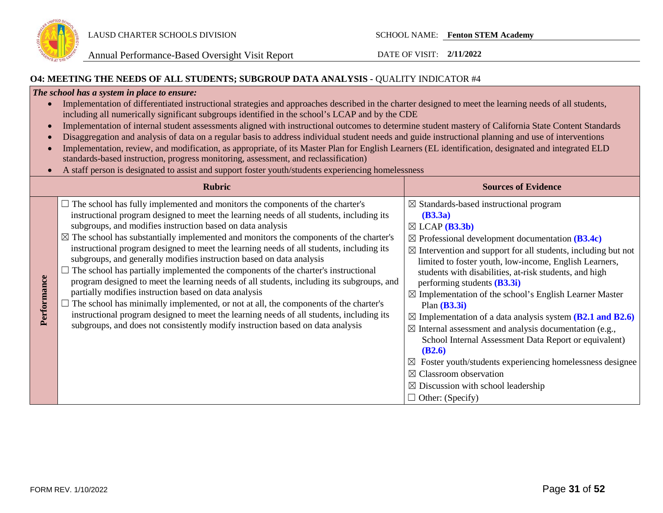

### **O4: MEETING THE NEEDS OF ALL STUDENTS; SUBGROUP DATA ANALYSIS -** QUALITY INDICATOR #4

#### *The school has a system in place to ensure:*

| Implementation of differentiated instructional strategies and approaches described in the charter designed to meet the learning needs of all students, |
|--------------------------------------------------------------------------------------------------------------------------------------------------------|
| including all numerically significant subgroups identified in the school's LCAP and by the CDE                                                         |

- Implementation of internal student assessments aligned with instructional outcomes to determine student mastery of California State Content Standards
- Disaggregation and analysis of data on a regular basis to address individual student needs and guide instructional planning and use of interventions
- Implementation, review, and modification, as appropriate, of its Master Plan for English Learners (EL identification, designated and integrated ELD standards-based instruction, progress monitoring, assessment, and reclassification)
- A staff person is designated to assist and support foster youth/students experiencing homelessness

|             | <b>Rubric</b>                                                                                                                                                                                                                                                                                                                                                                                                                                                                                                                                                                                                                                                                                                                                                                                                                                                                                                                                                                                                                             | <b>Sources of Evidence</b>                                                                                                                                                                                                                                                                                                                                                                                                                                                                                                                                                                                                                                                                                                                                                                                                                                                           |
|-------------|-------------------------------------------------------------------------------------------------------------------------------------------------------------------------------------------------------------------------------------------------------------------------------------------------------------------------------------------------------------------------------------------------------------------------------------------------------------------------------------------------------------------------------------------------------------------------------------------------------------------------------------------------------------------------------------------------------------------------------------------------------------------------------------------------------------------------------------------------------------------------------------------------------------------------------------------------------------------------------------------------------------------------------------------|--------------------------------------------------------------------------------------------------------------------------------------------------------------------------------------------------------------------------------------------------------------------------------------------------------------------------------------------------------------------------------------------------------------------------------------------------------------------------------------------------------------------------------------------------------------------------------------------------------------------------------------------------------------------------------------------------------------------------------------------------------------------------------------------------------------------------------------------------------------------------------------|
| Performance | $\Box$ The school has fully implemented and monitors the components of the charter's<br>instructional program designed to meet the learning needs of all students, including its<br>subgroups, and modifies instruction based on data analysis<br>$\boxtimes$ The school has substantially implemented and monitors the components of the charter's<br>instructional program designed to meet the learning needs of all students, including its<br>subgroups, and generally modifies instruction based on data analysis<br>The school has partially implemented the components of the charter's instructional<br>program designed to meet the learning needs of all students, including its subgroups, and<br>partially modifies instruction based on data analysis<br>The school has minimally implemented, or not at all, the components of the charter's<br>instructional program designed to meet the learning needs of all students, including its<br>subgroups, and does not consistently modify instruction based on data analysis | $\boxtimes$ Standards-based instructional program<br>(B3.3a)<br>$\boxtimes$ LCAP ( <b>B3.3b</b> )<br>$\boxtimes$ Professional development documentation (B3.4c)<br>$\boxtimes$ Intervention and support for all students, including but not<br>limited to foster youth, low-income, English Learners,<br>students with disabilities, at-risk students, and high<br>performing students $(B3.3i)$<br>$\boxtimes$ Implementation of the school's English Learner Master<br>Plan $(B3.3i)$<br>$\boxtimes$ Implementation of a data analysis system (B2.1 and B2.6)<br>$\boxtimes$ Internal assessment and analysis documentation (e.g.,<br>School Internal Assessment Data Report or equivalent)<br>(B2.6)<br>Foster youth/students experiencing homelessness designee<br>$\boxtimes$ Classroom observation<br>$\boxtimes$ Discussion with school leadership<br>$\Box$ Other: (Specify) |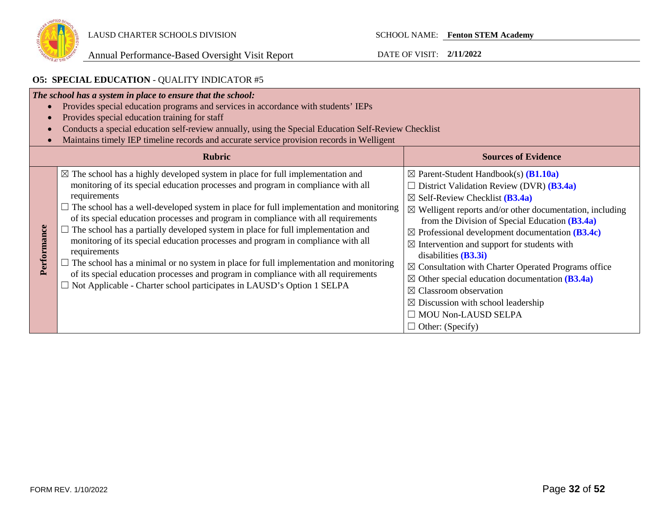

### **O5: SPECIAL EDUCATION** - QUALITY INDICATOR #5

| The school has a system in place to ensure that the school:<br>Provides special education programs and services in accordance with students' IEPs<br>$\bullet$<br>Provides special education training for staff<br>$\epsilon$<br>Conducts a special education self-review annually, using the Special Education Self-Review Checklist<br>Maintains timely IEP timeline records and accurate service provision records in Welligent |                                                                                                                                                                                                                                                                                                                                                                                                                                                                                                                                                                                                                                                                                                                                                                                                                                                            |                                                                                                                                                                                                                                                                                                                                                                                                                                                                                                                                                                                                                                                                                                                |  |
|------------------------------------------------------------------------------------------------------------------------------------------------------------------------------------------------------------------------------------------------------------------------------------------------------------------------------------------------------------------------------------------------------------------------------------|------------------------------------------------------------------------------------------------------------------------------------------------------------------------------------------------------------------------------------------------------------------------------------------------------------------------------------------------------------------------------------------------------------------------------------------------------------------------------------------------------------------------------------------------------------------------------------------------------------------------------------------------------------------------------------------------------------------------------------------------------------------------------------------------------------------------------------------------------------|----------------------------------------------------------------------------------------------------------------------------------------------------------------------------------------------------------------------------------------------------------------------------------------------------------------------------------------------------------------------------------------------------------------------------------------------------------------------------------------------------------------------------------------------------------------------------------------------------------------------------------------------------------------------------------------------------------------|--|
|                                                                                                                                                                                                                                                                                                                                                                                                                                    | <b>Rubric</b><br><b>Sources of Evidence</b>                                                                                                                                                                                                                                                                                                                                                                                                                                                                                                                                                                                                                                                                                                                                                                                                                |                                                                                                                                                                                                                                                                                                                                                                                                                                                                                                                                                                                                                                                                                                                |  |
| Performance                                                                                                                                                                                                                                                                                                                                                                                                                        | $\boxtimes$ The school has a highly developed system in place for full implementation and<br>monitoring of its special education processes and program in compliance with all<br>requirements<br>$\Box$ The school has a well-developed system in place for full implementation and monitoring<br>of its special education processes and program in compliance with all requirements<br>$\Box$ The school has a partially developed system in place for full implementation and<br>monitoring of its special education processes and program in compliance with all<br>requirements<br>$\Box$ The school has a minimal or no system in place for full implementation and monitoring<br>of its special education processes and program in compliance with all requirements<br>$\Box$ Not Applicable - Charter school participates in LAUSD's Option 1 SELPA | $\boxtimes$ Parent-Student Handbook(s) ( <b>B1.10a</b> )<br>District Validation Review (DVR) (B3.4a)<br>$\boxtimes$ Self-Review Checklist ( <b>B3.4a</b> )<br>$\boxtimes$ Welligent reports and/or other documentation, including<br>from the Division of Special Education $(B3.4a)$<br>$\boxtimes$ Professional development documentation (B3.4c)<br>$\boxtimes$ Intervention and support for students with<br>disabilities $(B3.3i)$<br>$\boxtimes$ Consultation with Charter Operated Programs office<br>$\boxtimes$ Other special education documentation (B3.4a)<br>$\boxtimes$ Classroom observation<br>$\boxtimes$ Discussion with school leadership<br><b>MOU Non-LAUSD SELPA</b><br>Other: (Specify) |  |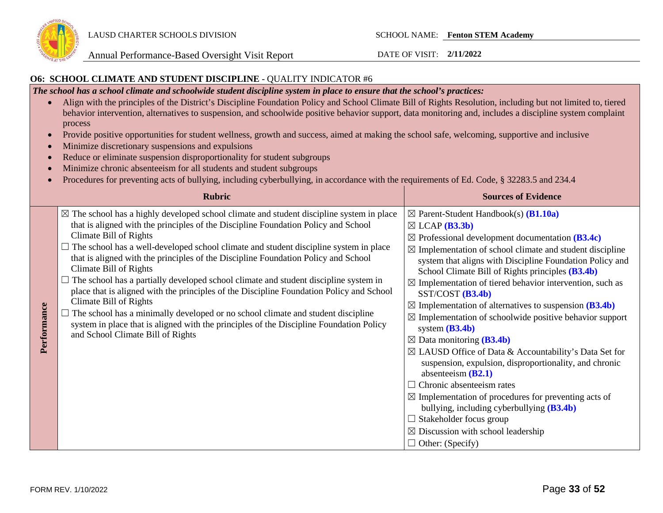

#### **O6: SCHOOL CLIMATE AND STUDENT DISCIPLINE** - QUALITY INDICATOR #6

*The school has a school climate and schoolwide student discipline system in place to ensure that the school's practices:* 

- Align with the principles of the District's Discipline Foundation Policy and School Climate Bill of Rights Resolution, including but not limited to, tiered behavior intervention, alternatives to suspension, and schoolwide positive behavior support, data monitoring and, includes a discipline system complaint process
- Provide positive opportunities for student wellness, growth and success, aimed at making the school safe, welcoming, supportive and inclusive
- Minimize discretionary suspensions and expulsions
- Reduce or eliminate suspension disproportionality for student subgroups
- Minimize chronic absenteeism for all students and student subgroups
- Procedures for preventing acts of bullying, including cyberbullying, in accordance with the requirements of Ed. Code, § 32283.5 and 234.4

|             | <b>Rubric</b>                                                                                                                                                                                                                                                                                                                                                                                                                                                                                                                                                                                                                                                                                                                                                                                                                                                  | <b>Sources of Evidence</b>                                                                                                                                                                                                                                                                                                                                                                                                                                                                                                                                                                                                                                                                                                                                                                                                                                                                                                                                                                                                                                                   |
|-------------|----------------------------------------------------------------------------------------------------------------------------------------------------------------------------------------------------------------------------------------------------------------------------------------------------------------------------------------------------------------------------------------------------------------------------------------------------------------------------------------------------------------------------------------------------------------------------------------------------------------------------------------------------------------------------------------------------------------------------------------------------------------------------------------------------------------------------------------------------------------|------------------------------------------------------------------------------------------------------------------------------------------------------------------------------------------------------------------------------------------------------------------------------------------------------------------------------------------------------------------------------------------------------------------------------------------------------------------------------------------------------------------------------------------------------------------------------------------------------------------------------------------------------------------------------------------------------------------------------------------------------------------------------------------------------------------------------------------------------------------------------------------------------------------------------------------------------------------------------------------------------------------------------------------------------------------------------|
| Performance | $\boxtimes$ The school has a highly developed school climate and student discipline system in place<br>that is aligned with the principles of the Discipline Foundation Policy and School<br>Climate Bill of Rights<br>The school has a well-developed school climate and student discipline system in place<br>that is aligned with the principles of the Discipline Foundation Policy and School<br>Climate Bill of Rights<br>The school has a partially developed school climate and student discipline system in<br>place that is aligned with the principles of the Discipline Foundation Policy and School<br>Climate Bill of Rights<br>The school has a minimally developed or no school climate and student discipline<br>system in place that is aligned with the principles of the Discipline Foundation Policy<br>and School Climate Bill of Rights | $\boxtimes$ Parent-Student Handbook(s) ( <b>B1.10a</b> )<br>$\boxtimes$ LCAP (B3.3b)<br>$\boxtimes$ Professional development documentation (B3.4c)<br>$\boxtimes$ Implementation of school climate and student discipline<br>system that aligns with Discipline Foundation Policy and<br>School Climate Bill of Rights principles (B3.4b)<br>$\boxtimes$ Implementation of tiered behavior intervention, such as<br>$SST/COST$ ( <b>B3.4b</b> )<br>$\boxtimes$ Implementation of alternatives to suspension (B3.4b)<br>$\boxtimes$ Implementation of schoolwide positive behavior support<br>system $(B3.4b)$<br>$\boxtimes$ Data monitoring (B3.4b)<br>$\boxtimes$ LAUSD Office of Data & Accountability's Data Set for<br>suspension, expulsion, disproportionality, and chronic<br>absenteeism $(B2.1)$<br>$\Box$ Chronic absenteeism rates<br>$\boxtimes$ Implementation of procedures for preventing acts of<br>bullying, including cyberbullying (B3.4b)<br>$\Box$ Stakeholder focus group<br>$\boxtimes$ Discussion with school leadership<br>$\Box$ Other: (Specify) |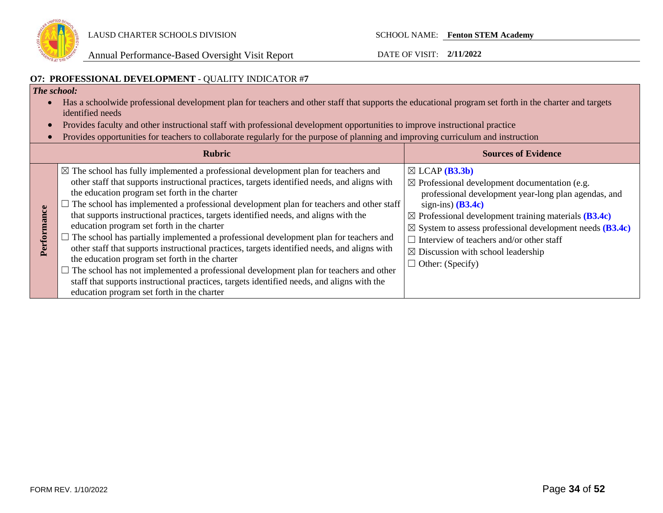

Annual Performance-Based Oversight Visit Report DATE OF VISIT: **2/11/2022**

### **O7: PROFESSIONAL DEVELOPMENT** - QUALITY INDICATOR #**7**

### *The school:*

- Has a schoolwide professional development plan for teachers and other staff that supports the educational program set forth in the charter and targets identified needs
- Provides faculty and other instructional staff with professional development opportunities to improve instructional practice
- Provides opportunities for teachers to collaborate regularly for the purpose of planning and improving curriculum and instruction

| <b>Rubric</b>                                                                                                                                                                                                                                                                                                                                                                                                                                                                                                                                                                                                                                                                                                                                                                                                                                                                                                                                                           | <b>Sources of Evidence</b>                                                                                                                                                                                                                                                                                                                                                                                                              |
|-------------------------------------------------------------------------------------------------------------------------------------------------------------------------------------------------------------------------------------------------------------------------------------------------------------------------------------------------------------------------------------------------------------------------------------------------------------------------------------------------------------------------------------------------------------------------------------------------------------------------------------------------------------------------------------------------------------------------------------------------------------------------------------------------------------------------------------------------------------------------------------------------------------------------------------------------------------------------|-----------------------------------------------------------------------------------------------------------------------------------------------------------------------------------------------------------------------------------------------------------------------------------------------------------------------------------------------------------------------------------------------------------------------------------------|
| $\boxtimes$ The school has fully implemented a professional development plan for teachers and<br>other staff that supports instructional practices, targets identified needs, and aligns with<br>the education program set forth in the charter<br>The school has implemented a professional development plan for teachers and other staff<br>that supports instructional practices, targets identified needs, and aligns with the<br>education program set forth in the charter<br>The school has partially implemented a professional development plan for teachers and<br>other staff that supports instructional practices, targets identified needs, and aligns with<br>the education program set forth in the charter<br>$\Box$ The school has not implemented a professional development plan for teachers and other<br>staff that supports instructional practices, targets identified needs, and aligns with the<br>education program set forth in the charter | $\boxtimes$ LCAP ( <b>B3.3b</b> )<br>$\boxtimes$ Professional development documentation (e.g.<br>professional development year-long plan agendas, and<br>sign-ins) $(B3.4c)$<br>$\boxtimes$ Professional development training materials (B3.4c)<br>$\boxtimes$ System to assess professional development needs (B3.4c)<br>Interview of teachers and/or other staff<br>$\boxtimes$ Discussion with school leadership<br>Other: (Specify) |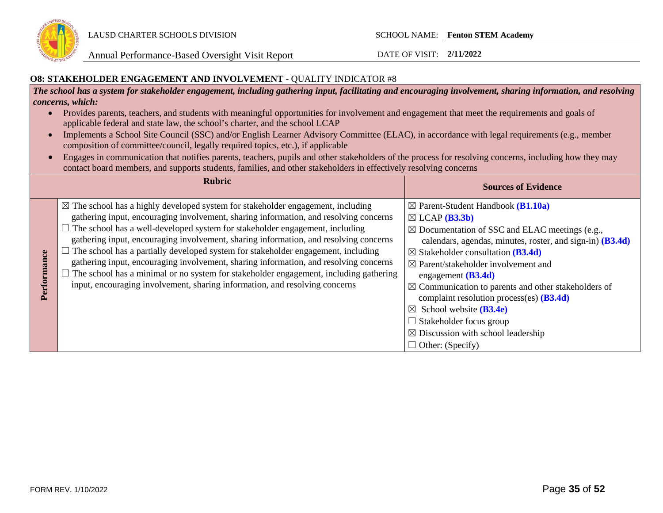

Annual Performance-Based Oversight Visit Report DATE OF VISIT: **2/11/2022**

#### **O8: STAKEHOLDER ENGAGEMENT AND INVOLVEMENT** - QUALITY INDICATOR #8

*The school has a system for stakeholder engagement, including gathering input, facilitating and encouraging involvement, sharing information, and resolving concerns, which:*

- Provides parents, teachers, and students with meaningful opportunities for involvement and engagement that meet the requirements and goals of applicable federal and state law, the school's charter, and the school LCAP
- Implements a School Site Council (SSC) and/or English Learner Advisory Committee (ELAC), in accordance with legal requirements (e.g., member composition of committee/council, legally required topics, etc.), if applicable
- Engages in communication that notifies parents, teachers, pupils and other stakeholders of the process for resolving concerns, including how they may contact board members, and supports students, families, and other stakeholders in effectively resolving concerns

| <b>Rubric</b>   |                                                                                                                                                                                                                                                                                                                                                                                                                                                                                                                                                                                                                                                                                                                           | <b>Sources of Evidence</b>                                                                                                                                                                                                                                                                                                                                                                                                                                                                                                                                                                                                  |
|-----------------|---------------------------------------------------------------------------------------------------------------------------------------------------------------------------------------------------------------------------------------------------------------------------------------------------------------------------------------------------------------------------------------------------------------------------------------------------------------------------------------------------------------------------------------------------------------------------------------------------------------------------------------------------------------------------------------------------------------------------|-----------------------------------------------------------------------------------------------------------------------------------------------------------------------------------------------------------------------------------------------------------------------------------------------------------------------------------------------------------------------------------------------------------------------------------------------------------------------------------------------------------------------------------------------------------------------------------------------------------------------------|
| mance<br>Perfor | $\boxtimes$ The school has a highly developed system for stakeholder engagement, including<br>gathering input, encouraging involvement, sharing information, and resolving concerns<br>$\Box$ The school has a well-developed system for stakeholder engagement, including<br>gathering input, encouraging involvement, sharing information, and resolving concerns<br>The school has a partially developed system for stakeholder engagement, including<br>gathering input, encouraging involvement, sharing information, and resolving concerns<br>The school has a minimal or no system for stakeholder engagement, including gathering<br>input, encouraging involvement, sharing information, and resolving concerns | $\boxtimes$ Parent-Student Handbook ( <b>B1.10a</b> )<br>$\boxtimes$ LCAP ( <b>B3.3b</b> )<br>$\boxtimes$ Documentation of SSC and ELAC meetings (e.g.,<br>calendars, agendas, minutes, roster, and sign-in) (B3.4d)<br>$\boxtimes$ Stakeholder consultation (B3.4d)<br>$\boxtimes$ Parent/stakeholder involvement and<br>engagement $(B3.4d)$<br>$\boxtimes$ Communication to parents and other stakeholders of<br>complaint resolution process(es) $(B3.4d)$<br>$\boxtimes$ School website ( <b>B3.4e</b> )<br>$\Box$ Stakeholder focus group<br>$\boxtimes$ Discussion with school leadership<br>$\Box$ Other: (Specify) |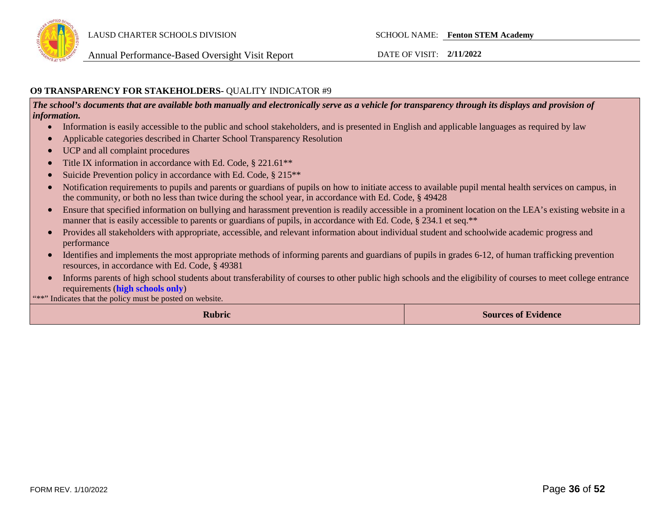

### **O9 TRANSPARENCY FOR STAKEHOLDERS-** QUALITY INDICATOR #9

*The school's documents that are available both manually and electronically serve as a vehicle for transparency through its displays and provision of information.* 

- Information is easily accessible to the public and school stakeholders, and is presented in English and applicable languages as required by law
- Applicable categories described in Charter School Transparency Resolution
- UCP and all complaint procedures
- Title IX information in accordance with Ed. Code, § 221.61<sup>\*\*</sup>
- Suicide Prevention policy in accordance with Ed. Code, § 215<sup>\*\*</sup>
- Notification requirements to pupils and parents or guardians of pupils on how to initiate access to available pupil mental health services on campus, in the community, or both no less than twice during the school year, in accordance with Ed. Code, § 49428
- Ensure that specified information on bullying and harassment prevention is readily accessible in a prominent location on the LEA's existing website in a manner that is easily accessible to parents or guardians of pupils, in accordance with Ed. Code, § 234.1 et seq.\*\*
- Provides all stakeholders with appropriate, accessible, and relevant information about individual student and schoolwide academic progress and performance
- Identifies and implements the most appropriate methods of informing parents and guardians of pupils in grades 6-12, of human trafficking prevention resources, in accordance with Ed. Code, § 49381
- Informs parents of high school students about transferability of courses to other public high schools and the eligibility of courses to meet college entrance requirements (**high schools only**)

"\*\*" Indicates that the policy must be posted on website.

**Rubric Sources of Evidence**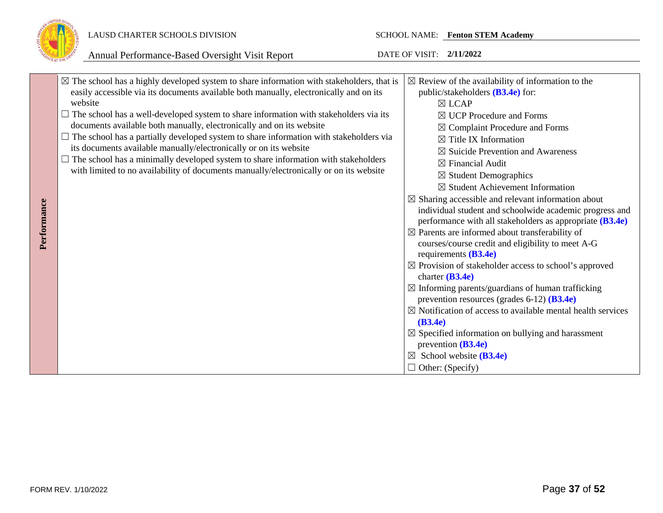

### LAUSD CHARTER SCHOOLS DIVISION SCHOOL NAME: **Fenton STEM Academy**

|             | $\boxtimes$ The school has a highly developed system to share information with stakeholders, that is<br>easily accessible via its documents available both manually, electronically and on its<br>website                                                                                                                                                                                                                                                                                                                         | $\boxtimes$ Review of the availability of information to the<br>public/stakeholders $(B3.4e)$ for:<br>$\boxtimes$ LCAP                                                                                                                                                                                                                                                                                                                                                                                                                                                                                                                                                                                                                                                                                                                                                                                                                                                                                                                                                                        |
|-------------|-----------------------------------------------------------------------------------------------------------------------------------------------------------------------------------------------------------------------------------------------------------------------------------------------------------------------------------------------------------------------------------------------------------------------------------------------------------------------------------------------------------------------------------|-----------------------------------------------------------------------------------------------------------------------------------------------------------------------------------------------------------------------------------------------------------------------------------------------------------------------------------------------------------------------------------------------------------------------------------------------------------------------------------------------------------------------------------------------------------------------------------------------------------------------------------------------------------------------------------------------------------------------------------------------------------------------------------------------------------------------------------------------------------------------------------------------------------------------------------------------------------------------------------------------------------------------------------------------------------------------------------------------|
| Performance | $\Box$ The school has a well-developed system to share information with stakeholders via its<br>documents available both manually, electronically and on its website<br>$\Box$ The school has a partially developed system to share information with stakeholders via<br>its documents available manually/electronically or on its website<br>$\Box$ The school has a minimally developed system to share information with stakeholders<br>with limited to no availability of documents manually/electronically or on its website | $\boxtimes$ UCP Procedure and Forms<br>$\boxtimes$ Complaint Procedure and Forms<br>$\boxtimes$ Title IX Information<br>$\boxtimes$ Suicide Prevention and Awareness<br>$\boxtimes$ Financial Audit<br>$\boxtimes$ Student Demographics<br>$\boxtimes$ Student Achievement Information<br>$\boxtimes$ Sharing accessible and relevant information about<br>individual student and schoolwide academic progress and<br>performance with all stakeholders as appropriate $(B3.4e)$<br>$\boxtimes$ Parents are informed about transferability of<br>courses/course credit and eligibility to meet A-G<br>requirements $(B3.4e)$<br>$\boxtimes$ Provision of stakeholder access to school's approved<br>charter $(B3.4e)$<br>$\boxtimes$ Informing parents/guardians of human trafficking<br>prevention resources (grades $6-12$ ) ( <b>B3.4e</b> )<br>$\boxtimes$ Notification of access to available mental health services<br>(B3.4e)<br>$\boxtimes$ Specified information on bullying and harassment<br>prevention $(B3.4e)$<br>$\boxtimes$ School website (B3.4e)<br>$\Box$ Other: (Specify) |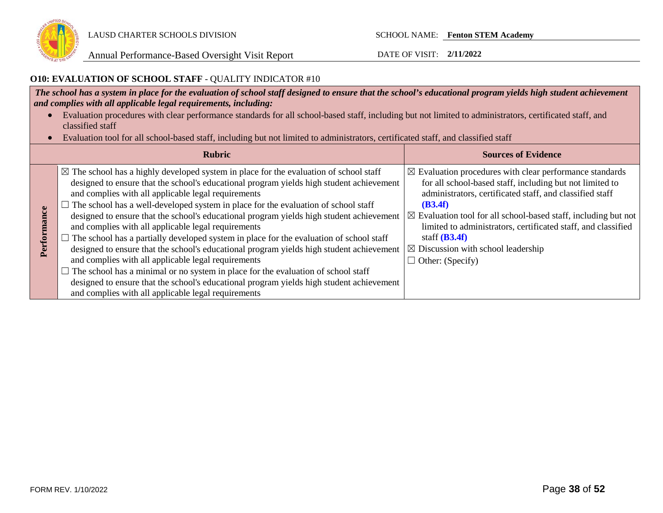

### **O10: EVALUATION OF SCHOOL STAFF** - QUALITY INDICATOR #10

*The school has a system in place for the evaluation of school staff designed to ensure that the school's educational program yields high student achievement and complies with all applicable legal requirements, including:* 

- Evaluation procedures with clear performance standards for all school-based staff, including but not limited to administrators, certificated staff, and classified staff
- Evaluation tool for all school-based staff, including but not limited to administrators, certificated staff, and classified staff

|                    | <b>Rubric</b>                                                                                                                                                                                                                                                                                                                                                                                                                                                                                                                                                                                                                                                                                                                                                                                                                                                                                                                                                                      | <b>Sources of Evidence</b>                                                                                                                                                                                                                                                                                                                                                                                                                         |
|--------------------|------------------------------------------------------------------------------------------------------------------------------------------------------------------------------------------------------------------------------------------------------------------------------------------------------------------------------------------------------------------------------------------------------------------------------------------------------------------------------------------------------------------------------------------------------------------------------------------------------------------------------------------------------------------------------------------------------------------------------------------------------------------------------------------------------------------------------------------------------------------------------------------------------------------------------------------------------------------------------------|----------------------------------------------------------------------------------------------------------------------------------------------------------------------------------------------------------------------------------------------------------------------------------------------------------------------------------------------------------------------------------------------------------------------------------------------------|
| mce<br>ឨ<br>erforn | $\boxtimes$ The school has a highly developed system in place for the evaluation of school staff<br>designed to ensure that the school's educational program yields high student achievement<br>and complies with all applicable legal requirements<br>The school has a well-developed system in place for the evaluation of school staff<br>designed to ensure that the school's educational program yields high student achievement<br>and complies with all applicable legal requirements<br>The school has a partially developed system in place for the evaluation of school staff<br>designed to ensure that the school's educational program yields high student achievement<br>and complies with all applicable legal requirements<br>The school has a minimal or no system in place for the evaluation of school staff<br>designed to ensure that the school's educational program yields high student achievement<br>and complies with all applicable legal requirements | $\boxtimes$ Evaluation procedures with clear performance standards<br>for all school-based staff, including but not limited to<br>administrators, certificated staff, and classified staff<br>(B3.4f)<br>$\boxtimes$ Evaluation tool for all school-based staff, including but not<br>limited to administrators, certificated staff, and classified<br>staff $(B3.4f)$<br>$\boxtimes$ Discussion with school leadership<br>$\Box$ Other: (Specify) |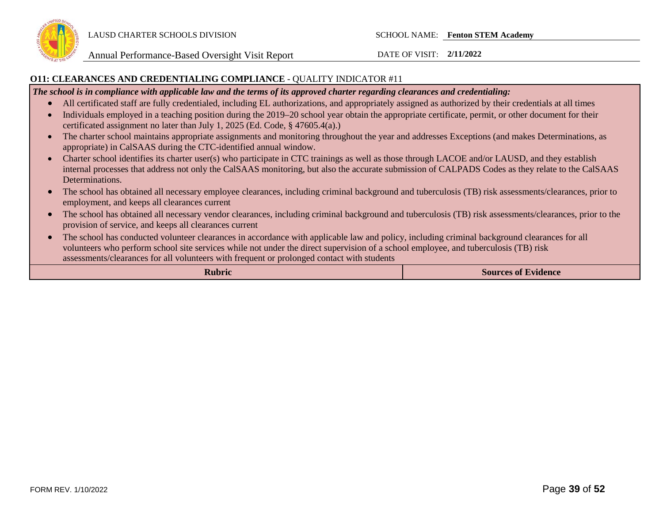

#### **O11: CLEARANCES AND CREDENTIALING COMPLIANCE** - QUALITY INDICATOR #11

*The school is in compliance with applicable law and the terms of its approved charter regarding clearances and credentialing:*

- All certificated staff are fully credentialed, including EL authorizations, and appropriately assigned as authorized by their credentials at all times
- Individuals employed in a teaching position during the 2019–20 school year obtain the appropriate certificate, permit, or other document for their certificated assignment no later than July 1, 2025 (Ed. Code, § 47605.4(a).)
- The charter school maintains appropriate assignments and monitoring throughout the year and addresses Exceptions (and makes Determinations, as appropriate) in CalSAAS during the CTC-identified annual window.
- Charter school identifies its charter user(s) who participate in CTC trainings as well as those through LACOE and/or LAUSD, and they establish internal processes that address not only the CalSAAS monitoring, but also the accurate submission of CALPADS Codes as they relate to the CalSAAS Determinations.
- The school has obtained all necessary employee clearances, including criminal background and tuberculosis (TB) risk assessments/clearances, prior to employment, and keeps all clearances current
- The school has obtained all necessary vendor clearances, including criminal background and tuberculosis (TB) risk assessments/clearances, prior to the provision of service, and keeps all clearances current
- The school has conducted volunteer clearances in accordance with applicable law and policy, including criminal background clearances for all volunteers who perform school site services while not under the direct supervision of a school employee, and tuberculosis (TB) risk assessments/clearances for all volunteers with frequent or prolonged contact with students

| Rubric | <b>Sources of Evidence</b> |
|--------|----------------------------|
|--------|----------------------------|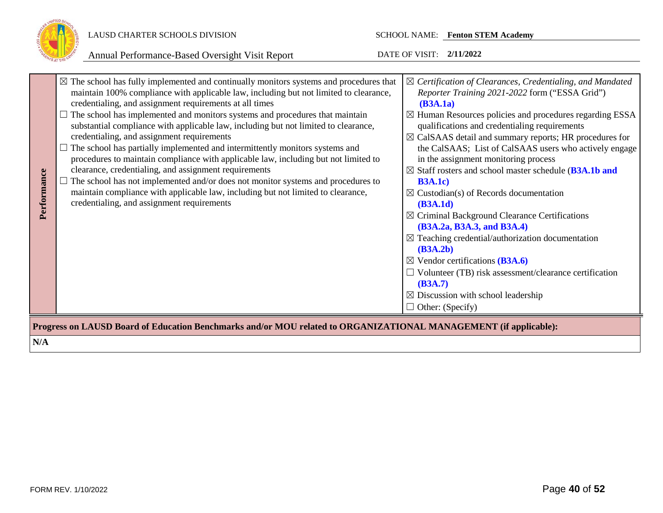

| Performance                                                                                                      | $\boxtimes$ The school has fully implemented and continually monitors systems and procedures that<br>maintain 100% compliance with applicable law, including but not limited to clearance,<br>credentialing, and assignment requirements at all times<br>$\Box$ The school has implemented and monitors systems and procedures that maintain<br>substantial compliance with applicable law, including but not limited to clearance,<br>credentialing, and assignment requirements<br>The school has partially implemented and intermittently monitors systems and<br>procedures to maintain compliance with applicable law, including but not limited to<br>clearance, credentialing, and assignment requirements<br>The school has not implemented and/or does not monitor systems and procedures to<br>maintain compliance with applicable law, including but not limited to clearance,<br>credentialing, and assignment requirements | $\boxtimes$ Certification of Clearances, Credentialing, and Mandated<br>Reporter Training 2021-2022 form ("ESSA Grid")<br>(B3A.1a)<br>$\boxtimes$ Human Resources policies and procedures regarding ESSA<br>qualifications and credentialing requirements<br>$\boxtimes$ CalSAAS detail and summary reports; HR procedures for<br>the CalSAAS; List of CalSAAS users who actively engage<br>in the assignment monitoring process<br>$\boxtimes$ Staff rosters and school master schedule (B3A.1b and<br><b>B3A.1c</b> )<br>$\boxtimes$ Custodian(s) of Records documentation<br>(B3A.1d)<br>$\boxtimes$ Criminal Background Clearance Certifications<br>(B3A.2a, B3A.3, and B3A.4)<br>$\boxtimes$ Teaching credential/authorization documentation<br>(B3A.2b)<br>$\boxtimes$ Vendor certifications (B3A.6)<br>$\Box$ Volunteer (TB) risk assessment/clearance certification |
|------------------------------------------------------------------------------------------------------------------|-----------------------------------------------------------------------------------------------------------------------------------------------------------------------------------------------------------------------------------------------------------------------------------------------------------------------------------------------------------------------------------------------------------------------------------------------------------------------------------------------------------------------------------------------------------------------------------------------------------------------------------------------------------------------------------------------------------------------------------------------------------------------------------------------------------------------------------------------------------------------------------------------------------------------------------------|-----------------------------------------------------------------------------------------------------------------------------------------------------------------------------------------------------------------------------------------------------------------------------------------------------------------------------------------------------------------------------------------------------------------------------------------------------------------------------------------------------------------------------------------------------------------------------------------------------------------------------------------------------------------------------------------------------------------------------------------------------------------------------------------------------------------------------------------------------------------------------|
|                                                                                                                  |                                                                                                                                                                                                                                                                                                                                                                                                                                                                                                                                                                                                                                                                                                                                                                                                                                                                                                                                         | (B3A.7)<br>$\boxtimes$ Discussion with school leadership<br>$\Box$ Other: (Specify)                                                                                                                                                                                                                                                                                                                                                                                                                                                                                                                                                                                                                                                                                                                                                                                         |
| Progress on LAUSD Board of Education Benchmarks and/or MOU related to ORGANIZATIONAL MANAGEMENT (if applicable): |                                                                                                                                                                                                                                                                                                                                                                                                                                                                                                                                                                                                                                                                                                                                                                                                                                                                                                                                         |                                                                                                                                                                                                                                                                                                                                                                                                                                                                                                                                                                                                                                                                                                                                                                                                                                                                             |
| N/A                                                                                                              |                                                                                                                                                                                                                                                                                                                                                                                                                                                                                                                                                                                                                                                                                                                                                                                                                                                                                                                                         |                                                                                                                                                                                                                                                                                                                                                                                                                                                                                                                                                                                                                                                                                                                                                                                                                                                                             |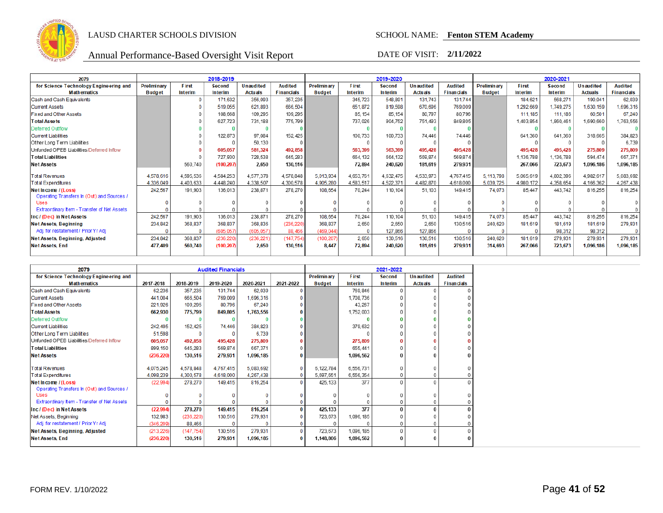

| 2079                                                              | 2018-2019                    |                         |                                 |                                    |                                     |                                     | 2019-2020                      |                          |                                    |                                     | 2020-2021                           |                         |                   |                                    |                                     |
|-------------------------------------------------------------------|------------------------------|-------------------------|---------------------------------|------------------------------------|-------------------------------------|-------------------------------------|--------------------------------|--------------------------|------------------------------------|-------------------------------------|-------------------------------------|-------------------------|-------------------|------------------------------------|-------------------------------------|
| for Science Technology Engineering and<br><b>Mathematics</b>      | Preliminary<br><b>Budget</b> | <b>First</b><br>Interim | <b>Second</b><br><b>Interim</b> | <b>Unaudited</b><br><b>Actuals</b> | <b>Audited</b><br><b>Financials</b> | <b>Preliminary</b><br><b>Budget</b> | <b>First</b><br><b>Interim</b> | <b>Second</b><br>Interim | <b>Unaudited</b><br><b>Actuals</b> | <b>Audited</b><br><b>Financials</b> | <b>Preliminary</b><br><b>Budget</b> | First<br><b>Interim</b> | Second<br>Interim | <b>Unaudited</b><br><b>Actuals</b> | <b>Audited</b><br><b>Financials</b> |
| Cash and Cash Equivalents                                         |                              |                         | 171,632                         | 356,093                            | 357,235                             |                                     | 345,723                        | 548,891                  | 131.743                            | 131.744                             |                                     | 184,621                 | 568,271           | 190,041                            | 62,039                              |
| <b>Current Assets</b>                                             |                              |                         | 519,055                         | 621.893                            | 666,504                             |                                     | 651,872                        | 819,598                  | 670.696                            | 769,009                             |                                     | 1,292,669               | 1,749,275         | 1,630,159                          | 1,696,316                           |
| <b>Fixed and Other Assets</b>                                     |                              |                         | 108,668                         | 109,295                            | 109,295                             |                                     | 85, 154                        | 85,154                   | 80.797                             | 80,796                              |                                     | 111, 185                | 111.186           | 60,501                             | 67,240                              |
| <b>Total Assets</b>                                               |                              |                         | 627,723                         | 731,188                            | 775,799                             |                                     | 737,026                        | 904,752                  | 751.493                            | 849,805                             |                                     | 1,403,854               | 1,860,461         | 1,690,660                          | 1,763,556                           |
| Deferred Outflow                                                  |                              |                         |                                 |                                    |                                     |                                     |                                |                          |                                    |                                     |                                     | -0                      |                   |                                    |                                     |
| <b>Current Liabilities</b>                                        |                              |                         | 122,873                         | 97,084                             | 152,425                             |                                     | 100,733                        | 100.733                  | 74.446                             | 74.446                              |                                     | 641,360                 | 641,360           | 318,665                            | 384,823                             |
| Other Long Term Liabilities                                       |                              |                         |                                 | 50,130                             |                                     |                                     |                                |                          |                                    |                                     |                                     | $\Omega$                | $\Omega$          |                                    | 6.739                               |
| Unfunded OPEB Liabilities/Deferred Inflow                         |                              |                         | 605,057                         | 581,324                            | 492.858                             |                                     | 563,399                        | 563,399                  | 495.428                            | 495,428                             |                                     | 495,428                 | 495,428           | 275,809                            | 275,809                             |
| <b>Total Liabilities</b>                                          |                              |                         | 727,930                         | 728,538                            | 645,283                             |                                     | 664.132                        | 664.132                  | 569.874                            | 569,874                             |                                     | 1,136,788               | 1,136,788         | 594.474                            | 667,371                             |
| <b>Net Assets</b>                                                 |                              | 560,740                 | (100, 207)                      | 2.650                              | 130,516                             |                                     | 72,894                         | 240,620                  | 181.619                            | 279,931                             |                                     | 267,066                 | 723,673           | 1,096,186                          | 1,096,185                           |
| <b>Total Revenues</b>                                             | 4,578,616                    | 4,595,536               | 4,584,253                       | 4,577,378                          | 4,578,848                           | 5,013,934                           | 4,653,761                      | 4,632,475                | 4,533,973                          | 4,767,415                           | 5, 113, 798                         | 5,065,619               | 4,802,396         | 4,982,617                          | 5,083,692                           |
| <b>Total Expenditures</b>                                         | 4.336.049                    | 4.403.633               | 4.448.240                       | 4.338.507                          | 4.300.578                           | 4.905.280                           | 4,583,517                      | 4,522,371                | 4.482.870                          | 4,618,000                           | 5.039.725                           | 4.980.172               | 4.358.654         | 4.166.362                          | 4,267,438                           |
| Net Income / (Loss)<br>Operating Transfers In (Out) and Sources / | 242,567                      | 191,903                 | 136,013                         | 238,871                            | 278,270                             | 108,654                             | 70.244                         | 110.104                  | 51,103                             | 149.415                             | 74,073                              | 85.447                  | 443.742           | 816,255                            | 816,254                             |
| <b>Uses</b>                                                       |                              |                         |                                 |                                    |                                     |                                     |                                |                          |                                    |                                     |                                     | $\Omega$                |                   |                                    |                                     |
| Extraordinary Item - Transfer of Net Assets                       |                              |                         |                                 |                                    |                                     |                                     |                                |                          |                                    |                                     |                                     |                         |                   |                                    |                                     |
| Inc / (Dec) in Net Assets                                         | 242,567                      | 191.903                 | 136,013                         | 238,871                            | 278,270                             | 108.654                             | 70.244                         | 110,104                  | 51,103                             | 149,415                             | 74.073                              | 85,447                  | 443.742           | 816,255                            | 816,254                             |
| <b>Net Assets, Beginning</b>                                      | 234,842                      | 368,837                 | 368,837                         | 368,836                            | (236,220                            | 368,837                             | 2.650                          | 2.650                    | 2.650                              | 130,516                             | 240,620                             | 181,619                 | 181,619           | 181,619                            | 279,931                             |
| Adj. for restatement / Prior Yr Adj                               |                              |                         | (605, 057)                      | (605, 057)                         | 88,466                              | (469, 044)                          | $\Omega$                       | 127.866                  | 127,866                            |                                     | $\Omega$                            | $\mathbf 0$             | 98.312            | 98,312                             | $\mathbf 0$                         |
| Net Assets, Beginning, Adjusted                                   | 234,842                      | 368,837                 | (236, 220)                      | (236, 221)                         | (147, 754)                          | (100, 207)                          | 2.650                          | 130,516                  | 130,516                            | 130,516                             | 240,620                             | 181,619                 | 279,931           | 279,931                            | 279,931                             |
| <b>Net Assets, End</b>                                            | 477,409                      | 560,740                 | (100, 207)                      | 2.650                              | 130,516                             | 8.447                               | 72.894                         | 240,620                  | 181.619                            | 279,931                             | 314,693                             | 267,066                 | 723,673           | 1,096,186                          | 1,096,185                           |

| 2079                                        |            | <b>Audited Financials</b> |           |           |           |                    | 2021-2022     |               |                  |                   |  |
|---------------------------------------------|------------|---------------------------|-----------|-----------|-----------|--------------------|---------------|---------------|------------------|-------------------|--|
| for Science Technology Engineering and      |            |                           |           |           |           | <b>Preliminary</b> | <b>F</b> irst | <b>Second</b> | <b>Unaudited</b> | <b>Audited</b>    |  |
| <b>Mathematics</b>                          | 2017-2018  | 2018-2019                 | 2019-2020 | 2020-2021 | 2021-2022 | <b>Budget</b>      | Interim       | Interim       | <b>Actuals</b>   | <b>Financials</b> |  |
| Cash and Cash Equivalents                   | 62,236     | 357,235                   | 131,744   | 62,039    |           |                    | 769,846       |               |                  |                   |  |
| <b>Current Assets</b>                       | 441,004    | 666,504                   | 769,009   | 1.696.316 |           |                    | 1,708,736     |               |                  |                   |  |
| <b>Fixed and Other Assets</b>               | 221,926    | 109.295                   | 80,796    | 67,240    |           |                    | 43.267        |               |                  |                   |  |
| <b>Total Assets</b>                         | 662,930    | 775,799                   | 849,805   | 1,763,556 |           |                    | 1,752,003     |               |                  |                   |  |
| Deferred Outflow                            |            |                           |           |           |           |                    |               |               |                  |                   |  |
| <b>Current Liabilities</b>                  | 242, 495   | 152,425                   | 74,446    | 384,823   |           |                    | 379,632       |               |                  |                   |  |
| Other Long Term Liabilities                 | 51,598     |                           |           | 6,739     |           |                    |               |               |                  |                   |  |
| Unfunded OPEB Liabilities/Deferred Inflow   | 605,057    | 492.858                   | 495,428   | 275,809   |           |                    | 275,809       |               |                  |                   |  |
| <b>Total Liabilities</b>                    | 899.150    | 645.283                   | 569,874   | 667,371   |           |                    | 655, 441      |               |                  |                   |  |
| <b>Net Assets</b>                           | (236, 220) | 130.516                   | 279.931   | 1.096.185 |           |                    | 1.096.562     |               |                  |                   |  |
|                                             |            |                           |           |           |           |                    |               |               |                  |                   |  |
| <b>Total Revenues</b>                       | 4,075,245  | 4,578,848                 | 4,767,415 | 5,083,692 |           | 6,122,784          | 6,556,731     |               |                  |                   |  |
| <b>Total Expenditures</b>                   | 4,098,239  | 4,300,578                 | 4,618,000 | 4,267,438 |           | 5.697.651          | 6,556,354     |               |                  |                   |  |
| Net Income / (Loss)                         | (22, 994)  | 278,270                   | 149,415   | 816,254   |           | 425, 133           | 377           | $\Omega$      | $\Omega$         |                   |  |
| Operating Transfers In (Out) and Sources /  |            |                           |           |           |           |                    |               |               |                  |                   |  |
| <b>Uses</b>                                 |            |                           |           |           |           |                    |               |               |                  | $\Omega$          |  |
| Extraordinary Item - Transfer of Net Assets |            |                           |           |           |           |                    |               |               |                  |                   |  |
| Inc / (Dec) in Net Assets                   | (22, 994)  | 278,270                   | 149,415   | 816,254   |           | 425,133            | 377           |               | $\Omega$         | $\Omega$          |  |
| Net Assets, Beginning                       | 132,983    | (236, 220)                | 130,516   | 279,931   |           | 723,673            | 1,096,185     |               |                  |                   |  |
| Adj. for restatement / Prior Yr Adj         | (346, 209) | 88,466                    |           |           |           |                    |               |               |                  |                   |  |
| <b>Net Assets, Beginning, Adjusted</b>      | (213, 226) | (147, 754)                | 130,516   | 279,931   |           | 723,673            | 1,096,185     |               | $\Omega$         |                   |  |
| <b>Net Assets, End</b>                      | (236, 220) | 130,516                   | 279,931   | 1.096.185 |           | 1.148.806          | 1,096,562     |               |                  | $\Omega$          |  |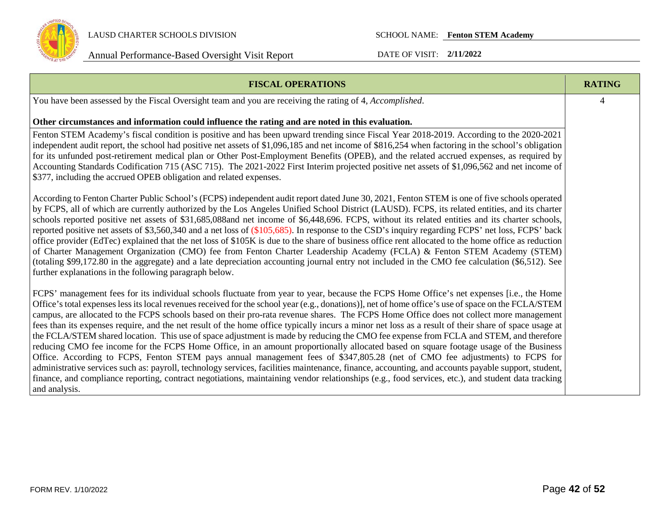

| <b>FISCAL OPERATIONS</b>                                                                                                                                                                                                                                                                                                                                                                                                                                                                                                                                                                                                                                                                                                                                                                                                                                                                                                                                                                                                                                                                                                                                                                                                                                                                                                                         | <b>RATING</b> |
|--------------------------------------------------------------------------------------------------------------------------------------------------------------------------------------------------------------------------------------------------------------------------------------------------------------------------------------------------------------------------------------------------------------------------------------------------------------------------------------------------------------------------------------------------------------------------------------------------------------------------------------------------------------------------------------------------------------------------------------------------------------------------------------------------------------------------------------------------------------------------------------------------------------------------------------------------------------------------------------------------------------------------------------------------------------------------------------------------------------------------------------------------------------------------------------------------------------------------------------------------------------------------------------------------------------------------------------------------|---------------|
| You have been assessed by the Fiscal Oversight team and you are receiving the rating of 4, Accomplished.                                                                                                                                                                                                                                                                                                                                                                                                                                                                                                                                                                                                                                                                                                                                                                                                                                                                                                                                                                                                                                                                                                                                                                                                                                         | 4             |
| Other circumstances and information could influence the rating and are noted in this evaluation.                                                                                                                                                                                                                                                                                                                                                                                                                                                                                                                                                                                                                                                                                                                                                                                                                                                                                                                                                                                                                                                                                                                                                                                                                                                 |               |
| Fenton STEM Academy's fiscal condition is positive and has been upward trending since Fiscal Year 2018-2019. According to the 2020-2021<br>independent audit report, the school had positive net assets of \$1,096,185 and net income of \$816,254 when factoring in the school's obligation<br>for its unfunded post-retirement medical plan or Other Post-Employment Benefits (OPEB), and the related accrued expenses, as required by<br>Accounting Standards Codification 715 (ASC 715). The 2021-2022 First Interim projected positive net assets of \$1,096,562 and net income of<br>\$377, including the accrued OPEB obligation and related expenses.                                                                                                                                                                                                                                                                                                                                                                                                                                                                                                                                                                                                                                                                                    |               |
| According to Fenton Charter Public School's (FCPS) independent audit report dated June 30, 2021, Fenton STEM is one of five schools operated<br>by FCPS, all of which are currently authorized by the Los Angeles Unified School District (LAUSD). FCPS, its related entities, and its charter<br>schools reported positive net assets of \$31,685,088and net income of \$6,448,696. FCPS, without its related entities and its charter schools,<br>reported positive net assets of \$3,560,340 and a net loss of (\$105,685). In response to the CSD's inquiry regarding FCPS' net loss, FCPS' back<br>office provider (EdTec) explained that the net loss of \$105K is due to the share of business office rent allocated to the home office as reduction<br>of Charter Management Organization (CMO) fee from Fenton Charter Leadership Academy (FCLA) & Fenton STEM Academy (STEM)<br>(totaling \$99,172.80 in the aggregate) and a late depreciation accounting journal entry not included in the CMO fee calculation (\$6,512). See<br>further explanations in the following paragraph below.                                                                                                                                                                                                                                              |               |
| FCPS' management fees for its individual schools fluctuate from year to year, because the FCPS Home Office's net expenses [i.e., the Home<br>Office's total expenses less its local revenues received for the school year (e.g., donations)], net of home office's use of space on the FCLA/STEM<br>campus, are allocated to the FCPS schools based on their pro-rata revenue shares. The FCPS Home Office does not collect more management<br>fees than its expenses require, and the net result of the home office typically incurs a minor net loss as a result of their share of space usage at<br>the FCLA/STEM shared location. This use of space adjustment is made by reducing the CMO fee expense from FCLA and STEM, and therefore<br>reducing CMO fee income for the FCPS Home Office, in an amount proportionally allocated based on square footage usage of the Business<br>Office. According to FCPS, Fenton STEM pays annual management fees of \$347,805.28 (net of CMO fee adjustments) to FCPS for<br>administrative services such as: payroll, technology services, facilities maintenance, finance, accounting, and accounts payable support, student,<br>finance, and compliance reporting, contract negotiations, maintaining vendor relationships (e.g., food services, etc.), and student data tracking<br>and analysis. |               |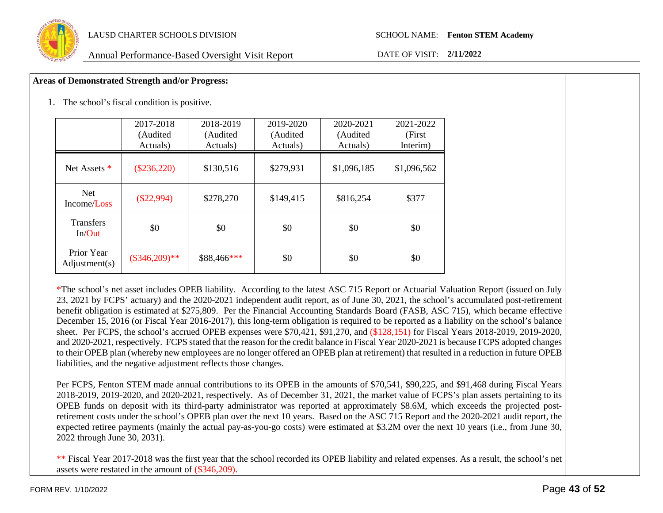

#### **Areas of Demonstrated Strength and/or Progress:**

1. The school's fiscal condition is positive.

|                             | 2017-2018<br>(Audited<br>Actuals) | 2018-2019<br>(Audited<br>Actuals) | 2019-2020<br>(Audited<br>Actuals) | 2020-2021<br>(Audited<br>Actuals) | 2021-2022<br>(First)<br>Interim) |
|-----------------------------|-----------------------------------|-----------------------------------|-----------------------------------|-----------------------------------|----------------------------------|
| Net Assets *                | $(\$236,220)$                     | \$130,516                         | \$279,931                         | \$1,096,185                       | \$1,096,562                      |
| <b>Net</b><br>Income/Loss   | $(\$22,994)$                      | \$278,270                         | \$149,415                         | \$816,254                         | \$377                            |
| <b>Transfers</b><br>In/Out  | \$0                               | \$0                               | \$0                               | \$0                               | \$0                              |
| Prior Year<br>Adjustment(s) | $(\$346,209)**$                   | \$88,466***                       | \$0                               | \$0                               | \$0                              |

\*The school's net asset includes OPEB liability. According to the latest ASC 715 Report or Actuarial Valuation Report (issued on July 23, 2021 by FCPS' actuary) and the 2020-2021 independent audit report, as of June 30, 2021, the school's accumulated post-retirement benefit obligation is estimated at \$275,809. Per the Financial Accounting Standards Board (FASB, ASC 715), which became effective December 15, 2016 (or Fiscal Year 2016-2017), this long-term obligation is required to be reported as a liability on the school's balance sheet. Per FCPS, the school's accrued OPEB expenses were \$70,421, \$91,270, and (\$128,151) for Fiscal Years 2018-2019, 2019-2020, and 2020-2021, respectively. FCPS stated that the reason for the credit balance in Fiscal Year 2020-2021 is because FCPS adopted changes to their OPEB plan (whereby new employees are no longer offered an OPEB plan at retirement) that resulted in a reduction in future OPEB liabilities, and the negative adjustment reflects those changes.

Per FCPS, Fenton STEM made annual contributions to its OPEB in the amounts of \$70,541, \$90,225, and \$91,468 during Fiscal Years 2018-2019, 2019-2020, and 2020-2021, respectively. As of December 31, 2021, the market value of FCPS's plan assets pertaining to its OPEB funds on deposit with its third-party administrator was reported at approximately \$8.6M, which exceeds the projected postretirement costs under the school's OPEB plan over the next 10 years. Based on the ASC 715 Report and the 2020-2021 audit report, the expected retiree payments (mainly the actual pay-as-you-go costs) were estimated at \$3.2M over the next 10 years (i.e., from June 30, 2022 through June 30, 2031).

\*\* Fiscal Year 2017-2018 was the first year that the school recorded its OPEB liability and related expenses. As a result, the school's net assets were restated in the amount of (\$346,209).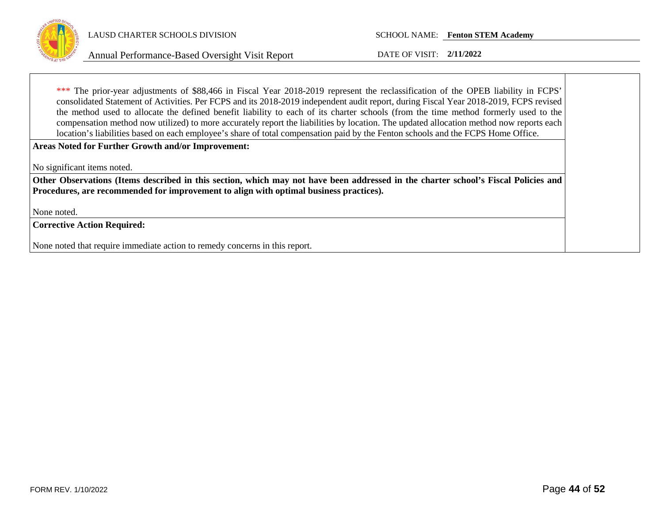

Annual Performance-Based Oversight Visit Report DATE OF VISIT: **2/11/2022**

\*\*\* The prior-year adjustments of \$88,466 in Fiscal Year 2018-2019 represent the reclassification of the OPEB liability in FCPS' consolidated Statement of Activities. Per FCPS and its 2018-2019 independent audit report, during Fiscal Year 2018-2019, FCPS revised the method used to allocate the defined benefit liability to each of its charter schools (from the time method formerly used to the compensation method now utilized) to more accurately report the liabilities by location. The updated allocation method now reports each location's liabilities based on each employee's share of total compensation paid by the Fenton schools and the FCPS Home Office.

**Areas Noted for Further Growth and/or Improvement:**

No significant items noted.

**Other Observations (Items described in this section, which may not have been addressed in the charter school's Fiscal Policies and Procedures, are recommended for improvement to align with optimal business practices).**

None noted.

**Corrective Action Required:**

None noted that require immediate action to remedy concerns in this report.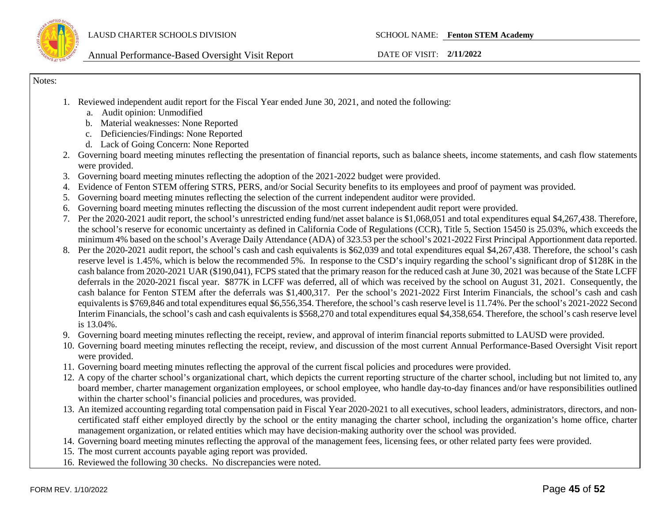

Notes:

- 1. Reviewed independent audit report for the Fiscal Year ended June 30, 2021, and noted the following:
	- a. Audit opinion: Unmodified
	- b. Material weaknesses: None Reported
	- c. Deficiencies/Findings: None Reported
	- d. Lack of Going Concern: None Reported
- 2. Governing board meeting minutes reflecting the presentation of financial reports, such as balance sheets, income statements, and cash flow statements were provided.
- 3. Governing board meeting minutes reflecting the adoption of the 2021-2022 budget were provided.
- 4. Evidence of Fenton STEM offering STRS, PERS, and/or Social Security benefits to its employees and proof of payment was provided.
- 5. Governing board meeting minutes reflecting the selection of the current independent auditor were provided.
- 6. Governing board meeting minutes reflecting the discussion of the most current independent audit report were provided.
- 7. Per the 2020-2021 audit report, the school's unrestricted ending fund/net asset balance is \$1,068,051 and total expenditures equal \$4,267,438. Therefore, the school's reserve for economic uncertainty as defined in California Code of Regulations (CCR), Title 5, Section 15450 is 25.03%, which exceeds the minimum 4% based on the school's Average Daily Attendance (ADA) of 323.53 per the school's 2021-2022 First Principal Apportionment data reported.
- 8. Per the 2020-2021 audit report, the school's cash and cash equivalents is \$62,039 and total expenditures equal \$4,267,438. Therefore, the school's cash reserve level is 1.45%, which is below the recommended 5%. In response to the CSD's inquiry regarding the school's significant drop of \$128K in the cash balance from 2020-2021 UAR (\$190,041), FCPS stated that the primary reason for the reduced cash at June 30, 2021 was because of the State LCFF deferrals in the 2020-2021 fiscal year. \$877K in LCFF was deferred, all of which was received by the school on August 31, 2021. Consequently, the cash balance for Fenton STEM after the deferrals was \$1,400,317. Per the school's 2021-2022 First Interim Financials, the school's cash and cash equivalents is \$769,846 and total expenditures equal \$6,556,354. Therefore, the school's cash reserve level is 11.74%. Per the school's 2021-2022 Second Interim Financials, the school's cash and cash equivalents is \$568,270 and total expenditures equal \$4,358,654. Therefore, the school's cash reserve level is 13.04%.
- 9. Governing board meeting minutes reflecting the receipt, review, and approval of interim financial reports submitted to LAUSD were provided.
- 10. Governing board meeting minutes reflecting the receipt, review, and discussion of the most current Annual Performance-Based Oversight Visit report were provided.
- 11. Governing board meeting minutes reflecting the approval of the current fiscal policies and procedures were provided.
- 12. A copy of the charter school's organizational chart, which depicts the current reporting structure of the charter school, including but not limited to, any board member, charter management organization employees, or school employee, who handle day-to-day finances and/or have responsibilities outlined within the charter school's financial policies and procedures, was provided.
- 13. An itemized accounting regarding total compensation paid in Fiscal Year 2020-2021 to all executives, school leaders, administrators, directors, and noncertificated staff either employed directly by the school or the entity managing the charter school, including the organization's home office, charter management organization, or related entities which may have decision-making authority over the school was provided.
- 14. Governing board meeting minutes reflecting the approval of the management fees, licensing fees, or other related party fees were provided.
- 15. The most current accounts payable aging report was provided.
- 16. Reviewed the following 30 checks. No discrepancies were noted.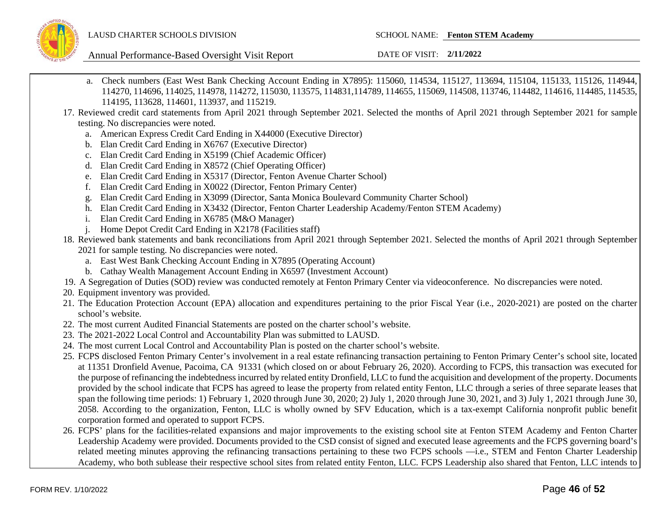

- a. Check numbers (East West Bank Checking Account Ending in X7895): 115060, 114534, 115127, 113694, 115104, 115133, 115126, 114944, 114270, 114696, 114025, 114978, 114272, 115030, 113575, 114831,114789, 114655, 115069, 114508, 113746, 114482, 114616, 114485, 114535, 114195, 113628, 114601, 113937, and 115219.
- 17. Reviewed credit card statements from April 2021 through September 2021. Selected the months of April 2021 through September 2021 for sample testing. No discrepancies were noted.
	- a. American Express Credit Card Ending in X44000 (Executive Director)
	- b. Elan Credit Card Ending in X6767 (Executive Director)
	- c. Elan Credit Card Ending in X5199 (Chief Academic Officer)
	- d. Elan Credit Card Ending in X8572 (Chief Operating Officer)
	- e. Elan Credit Card Ending in X5317 (Director, Fenton Avenue Charter School)
	- f. Elan Credit Card Ending in X0022 (Director, Fenton Primary Center)
	- g. Elan Credit Card Ending in X3099 (Director, Santa Monica Boulevard Community Charter School)
	- h. Elan Credit Card Ending in X3432 (Director, Fenton Charter Leadership Academy/Fenton STEM Academy)
	- i. Elan Credit Card Ending in X6785 (M&O Manager)
	- j. Home Depot Credit Card Ending in X2178 (Facilities staff)
- 18. Reviewed bank statements and bank reconciliations from April 2021 through September 2021. Selected the months of April 2021 through September 2021 for sample testing. No discrepancies were noted.
	- a. East West Bank Checking Account Ending in X7895 (Operating Account)
	- b. Cathay Wealth Management Account Ending in X6597 (Investment Account)
- 19. A Segregation of Duties (SOD) review was conducted remotely at Fenton Primary Center via videoconference. No discrepancies were noted.
- 20. Equipment inventory was provided.
- 21. The Education Protection Account (EPA) allocation and expenditures pertaining to the prior Fiscal Year (i.e., 2020-2021) are posted on the charter school's website.
- 22. The most current Audited Financial Statements are posted on the charter school's website.
- 23. The 2021-2022 Local Control and Accountability Plan was submitted to LAUSD.
- 24. The most current Local Control and Accountability Plan is posted on the charter school's website.
- 25. FCPS disclosed Fenton Primary Center's involvement in a real estate refinancing transaction pertaining to Fenton Primary Center's school site, located at 11351 Dronfield Avenue, Pacoima, CA 91331 (which closed on or about February 26, 2020). According to FCPS, this transaction was executed for the purpose of refinancing the indebtedness incurred by related entity Dronfield, LLC to fund the acquisition and development of the property. Documents provided by the school indicate that FCPS has agreed to lease the property from related entity Fenton, LLC through a series of three separate leases that span the following time periods: 1) February 1, 2020 through June 30, 2020; 2) July 1, 2020 through June 30, 2021, and 3) July 1, 2021 through June 30, 2058. According to the organization, Fenton, LLC is wholly owned by SFV Education, which is a tax-exempt California nonprofit public benefit corporation formed and operated to support FCPS.
- 26. FCPS' plans for the facilities-related expansions and major improvements to the existing school site at Fenton STEM Academy and Fenton Charter Leadership Academy were provided. Documents provided to the CSD consist of signed and executed lease agreements and the FCPS governing board's related meeting minutes approving the refinancing transactions pertaining to these two FCPS schools —i.e., STEM and Fenton Charter Leadership Academy, who both sublease their respective school sites from related entity Fenton, LLC. FCPS Leadership also shared that Fenton, LLC intends to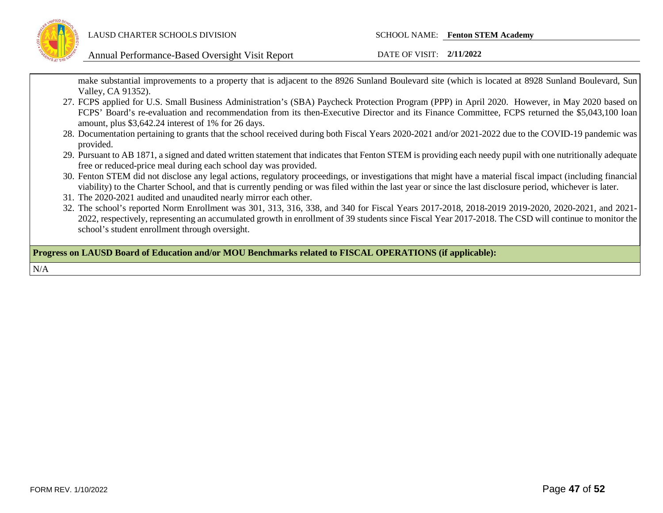

Annual Performance-Based Oversight Visit Report DATE OF VISIT: **2/11/2022**

make substantial improvements to a property that is adjacent to the 8926 Sunland Boulevard site (which is located at 8928 Sunland Boulevard, Sun Valley, CA 91352).

- 27. FCPS applied for U.S. Small Business Administration's (SBA) Paycheck Protection Program (PPP) in April 2020. However, in May 2020 based on FCPS' Board's re-evaluation and recommendation from its then-Executive Director and its Finance Committee, FCPS returned the \$5,043,100 loan amount, plus \$3,642.24 interest of 1% for 26 days.
- 28. Documentation pertaining to grants that the school received during both Fiscal Years 2020-2021 and/or 2021-2022 due to the COVID-19 pandemic was provided.
- 29. Pursuant to AB 1871, a signed and dated written statement that indicates that Fenton STEM is providing each needy pupil with one nutritionally adequate free or reduced-price meal during each school day was provided.
- 30. Fenton STEM did not disclose any legal actions, regulatory proceedings, or investigations that might have a material fiscal impact (including financial viability) to the Charter School, and that is currently pending or was filed within the last year or since the last disclosure period, whichever is later.
- 31. The 2020-2021 audited and unaudited nearly mirror each other.
- 32. The school's reported Norm Enrollment was 301, 313, 316, 338, and 340 for Fiscal Years 2017-2018, 2018-2019 2019-2020, 2020-2021, and 2021- 2022, respectively, representing an accumulated growth in enrollment of 39 students since Fiscal Year 2017-2018. The CSD will continue to monitor the school's student enrollment through oversight.

**Progress on LAUSD Board of Education and/or MOU Benchmarks related to FISCAL OPERATIONS (if applicable):**

N/A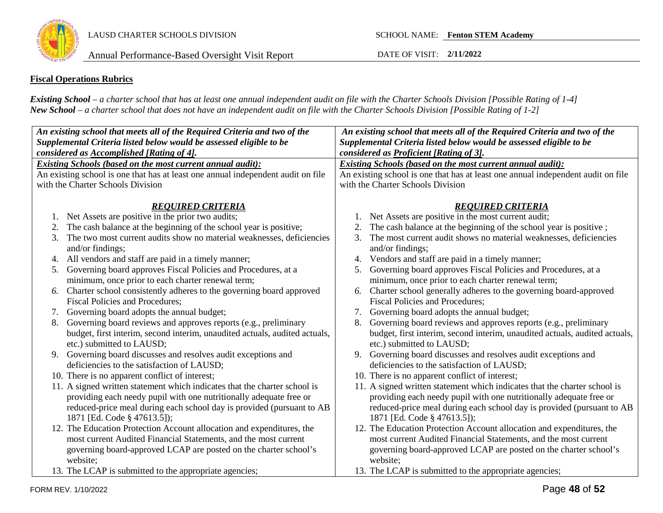

### **Fiscal Operations Rubrics**

*Existing School – a charter school that has at least one annual independent audit on file with the Charter Schools Division [Possible Rating of 1-4] New School – a charter school that does not have an independent audit on file with the Charter Schools Division [Possible Rating of 1-2]*

| An existing school that meets all of the Required Criteria and two of the<br>Supplemental Criteria listed below would be assessed eligible to be      | An existing school that meets all of the Required Criteria and two of the<br>Supplemental Criteria listed below would be assessed eligible to be |  |  |  |  |  |
|-------------------------------------------------------------------------------------------------------------------------------------------------------|--------------------------------------------------------------------------------------------------------------------------------------------------|--|--|--|--|--|
| considered as Accomplished [Rating of 4].                                                                                                             | considered as Proficient [Rating of 3].                                                                                                          |  |  |  |  |  |
| <b>Existing Schools (based on the most current annual audit):</b><br>An existing school is one that has at least one annual independent audit on file | Existing Schools (based on the most current annual audit):<br>An existing school is one that has at least one annual independent audit on file   |  |  |  |  |  |
| with the Charter Schools Division                                                                                                                     | with the Charter Schools Division                                                                                                                |  |  |  |  |  |
|                                                                                                                                                       |                                                                                                                                                  |  |  |  |  |  |
| <b>REQUIRED CRITERIA</b>                                                                                                                              | <b>REQUIRED CRITERIA</b>                                                                                                                         |  |  |  |  |  |
| Net Assets are positive in the prior two audits;                                                                                                      | Net Assets are positive in the most current audit;                                                                                               |  |  |  |  |  |
| The cash balance at the beginning of the school year is positive;<br>2.                                                                               | The cash balance at the beginning of the school year is positive;                                                                                |  |  |  |  |  |
| The two most current audits show no material weaknesses, deficiencies<br>3.                                                                           | The most current audit shows no material weaknesses, deficiencies<br>3.                                                                          |  |  |  |  |  |
| and/or findings;                                                                                                                                      | and/or findings;                                                                                                                                 |  |  |  |  |  |
| All vendors and staff are paid in a timely manner;<br>4.                                                                                              | Vendors and staff are paid in a timely manner;<br>4.                                                                                             |  |  |  |  |  |
| 5. Governing board approves Fiscal Policies and Procedures, at a                                                                                      | Governing board approves Fiscal Policies and Procedures, at a<br>5.                                                                              |  |  |  |  |  |
| minimum, once prior to each charter renewal term;                                                                                                     | minimum, once prior to each charter renewal term;                                                                                                |  |  |  |  |  |
| Charter school consistently adheres to the governing board approved<br>6.                                                                             | Charter school generally adheres to the governing board-approved<br>6.                                                                           |  |  |  |  |  |
| <b>Fiscal Policies and Procedures;</b>                                                                                                                | <b>Fiscal Policies and Procedures;</b>                                                                                                           |  |  |  |  |  |
| Governing board adopts the annual budget;<br>7.                                                                                                       | Governing board adopts the annual budget;<br>7.                                                                                                  |  |  |  |  |  |
| Governing board reviews and approves reports (e.g., preliminary<br>8.                                                                                 | Governing board reviews and approves reports (e.g., preliminary<br>8.                                                                            |  |  |  |  |  |
| budget, first interim, second interim, unaudited actuals, audited actuals,                                                                            | budget, first interim, second interim, unaudited actuals, audited actuals,                                                                       |  |  |  |  |  |
| etc.) submitted to LAUSD;                                                                                                                             | etc.) submitted to LAUSD;                                                                                                                        |  |  |  |  |  |
| 9. Governing board discusses and resolves audit exceptions and                                                                                        | Governing board discusses and resolves audit exceptions and<br>9.                                                                                |  |  |  |  |  |
| deficiencies to the satisfaction of LAUSD;                                                                                                            | deficiencies to the satisfaction of LAUSD;                                                                                                       |  |  |  |  |  |
| 10. There is no apparent conflict of interest;                                                                                                        | 10. There is no apparent conflict of interest;                                                                                                   |  |  |  |  |  |
| 11. A signed written statement which indicates that the charter school is                                                                             | 11. A signed written statement which indicates that the charter school is                                                                        |  |  |  |  |  |
| providing each needy pupil with one nutritionally adequate free or                                                                                    | providing each needy pupil with one nutritionally adequate free or                                                                               |  |  |  |  |  |
| reduced-price meal during each school day is provided (pursuant to AB                                                                                 | reduced-price meal during each school day is provided (pursuant to AB                                                                            |  |  |  |  |  |
| 1871 [Ed. Code § 47613.5]);                                                                                                                           | 1871 [Ed. Code § 47613.5]);                                                                                                                      |  |  |  |  |  |
| 12. The Education Protection Account allocation and expenditures, the                                                                                 | 12. The Education Protection Account allocation and expenditures, the                                                                            |  |  |  |  |  |
| most current Audited Financial Statements, and the most current                                                                                       | most current Audited Financial Statements, and the most current                                                                                  |  |  |  |  |  |
| governing board-approved LCAP are posted on the charter school's                                                                                      | governing board-approved LCAP are posted on the charter school's                                                                                 |  |  |  |  |  |
| website;                                                                                                                                              | website;                                                                                                                                         |  |  |  |  |  |
| 13. The LCAP is submitted to the appropriate agencies;                                                                                                | 13. The LCAP is submitted to the appropriate agencies;                                                                                           |  |  |  |  |  |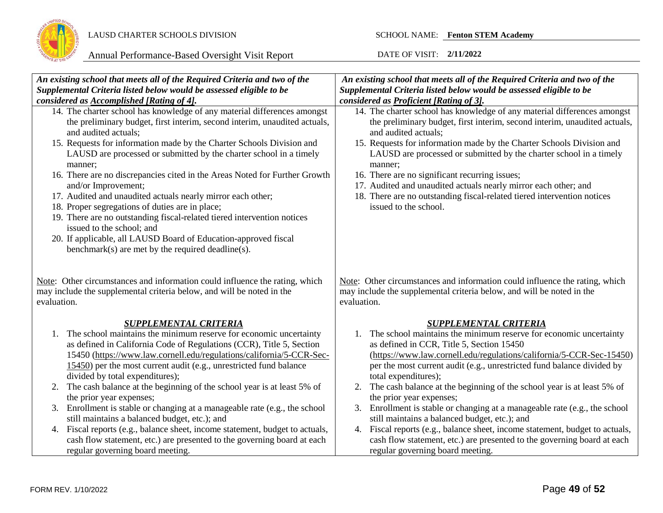

| An existing school that meets all of the Required Criteria and two of the                                                                                                                                                                                                                                                                                                                                                                                                                                                                                                                                                                                                                                                                                                                      | An existing school that meets all of the Required Criteria and two of the                                                                                                                                                                                                                                                                                                                                                                                                                                                                                                                                                                                                                                                                   |
|------------------------------------------------------------------------------------------------------------------------------------------------------------------------------------------------------------------------------------------------------------------------------------------------------------------------------------------------------------------------------------------------------------------------------------------------------------------------------------------------------------------------------------------------------------------------------------------------------------------------------------------------------------------------------------------------------------------------------------------------------------------------------------------------|---------------------------------------------------------------------------------------------------------------------------------------------------------------------------------------------------------------------------------------------------------------------------------------------------------------------------------------------------------------------------------------------------------------------------------------------------------------------------------------------------------------------------------------------------------------------------------------------------------------------------------------------------------------------------------------------------------------------------------------------|
| Supplemental Criteria listed below would be assessed eligible to be                                                                                                                                                                                                                                                                                                                                                                                                                                                                                                                                                                                                                                                                                                                            | Supplemental Criteria listed below would be assessed eligible to be                                                                                                                                                                                                                                                                                                                                                                                                                                                                                                                                                                                                                                                                         |
| considered as Accomplished [Rating of 4].                                                                                                                                                                                                                                                                                                                                                                                                                                                                                                                                                                                                                                                                                                                                                      | considered as Proficient [Rating of 3].                                                                                                                                                                                                                                                                                                                                                                                                                                                                                                                                                                                                                                                                                                     |
| 14. The charter school has knowledge of any material differences amongst<br>the preliminary budget, first interim, second interim, unaudited actuals,<br>and audited actuals;<br>15. Requests for information made by the Charter Schools Division and<br>LAUSD are processed or submitted by the charter school in a timely<br>manner;<br>16. There are no discrepancies cited in the Areas Noted for Further Growth<br>and/or Improvement;<br>17. Audited and unaudited actuals nearly mirror each other;<br>18. Proper segregations of duties are in place;<br>19. There are no outstanding fiscal-related tiered intervention notices<br>issued to the school; and<br>20. If applicable, all LAUSD Board of Education-approved fiscal<br>benchmark(s) are met by the required deadline(s). | 14. The charter school has knowledge of any material differences amongst<br>the preliminary budget, first interim, second interim, unaudited actuals,<br>and audited actuals;<br>15. Requests for information made by the Charter Schools Division and<br>LAUSD are processed or submitted by the charter school in a timely<br>manner;<br>16. There are no significant recurring issues;<br>17. Audited and unaudited actuals nearly mirror each other; and<br>18. There are no outstanding fiscal-related tiered intervention notices<br>issued to the school.                                                                                                                                                                            |
| Note: Other circumstances and information could influence the rating, which<br>may include the supplemental criteria below, and will be noted in the<br>evaluation.                                                                                                                                                                                                                                                                                                                                                                                                                                                                                                                                                                                                                            | Note: Other circumstances and information could influence the rating, which<br>may include the supplemental criteria below, and will be noted in the<br>evaluation.                                                                                                                                                                                                                                                                                                                                                                                                                                                                                                                                                                         |
| <b>SUPPLEMENTAL CRITERIA</b>                                                                                                                                                                                                                                                                                                                                                                                                                                                                                                                                                                                                                                                                                                                                                                   | <b>SUPPLEMENTAL CRITERIA</b>                                                                                                                                                                                                                                                                                                                                                                                                                                                                                                                                                                                                                                                                                                                |
| The school maintains the minimum reserve for economic uncertainty<br>1.<br>as defined in California Code of Regulations (CCR), Title 5, Section<br>15450 (https://www.law.cornell.edu/regulations/california/5-CCR-Sec-<br>15450) per the most current audit (e.g., unrestricted fund balance<br>divided by total expenditures);<br>The cash balance at the beginning of the school year is at least 5% of<br>2.<br>the prior year expenses;<br>Enrollment is stable or changing at a manageable rate (e.g., the school<br>3.<br>still maintains a balanced budget, etc.); and<br>4. Fiscal reports (e.g., balance sheet, income statement, budget to actuals,<br>cash flow statement, etc.) are presented to the governing board at each<br>regular governing board meeting.                  | The school maintains the minimum reserve for economic uncertainty<br>1.<br>as defined in CCR, Title 5, Section 15450<br>(https://www.law.cornell.edu/regulations/california/5-CCR-Sec-15450)<br>per the most current audit (e.g., unrestricted fund balance divided by<br>total expenditures);<br>The cash balance at the beginning of the school year is at least 5% of<br>2.<br>the prior year expenses;<br>Enrollment is stable or changing at a manageable rate (e.g., the school<br>3.<br>still maintains a balanced budget, etc.); and<br>4. Fiscal reports (e.g., balance sheet, income statement, budget to actuals,<br>cash flow statement, etc.) are presented to the governing board at each<br>regular governing board meeting. |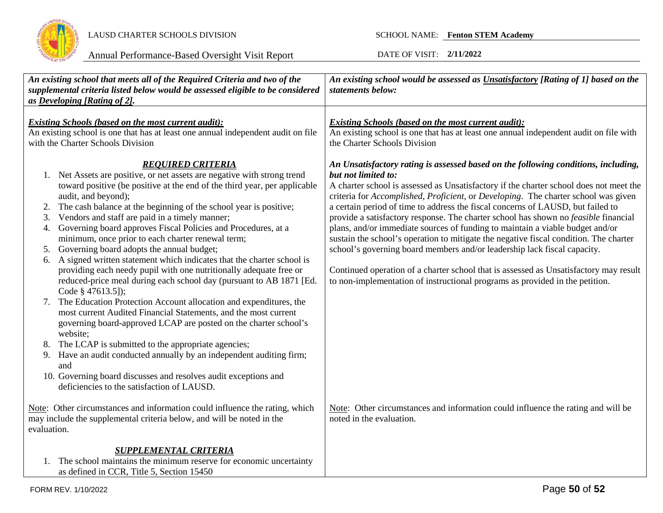

| An existing school that meets all of the Required Criteria and two of the<br>supplemental criteria listed below would be assessed eligible to be considered<br>as Developing [Rating of 2].                                                                                                                                                                                                                                                                                                                                                                                                                                                                                                                                                                                 | An existing school would be assessed as Unsatisfactory [Rating of 1] based on the<br>statements below:                                                                                                                                                                                                                                                                                                                                                                                                                                                                                                                                                                                                                                                                                                                                                                                             |  |  |  |
|-----------------------------------------------------------------------------------------------------------------------------------------------------------------------------------------------------------------------------------------------------------------------------------------------------------------------------------------------------------------------------------------------------------------------------------------------------------------------------------------------------------------------------------------------------------------------------------------------------------------------------------------------------------------------------------------------------------------------------------------------------------------------------|----------------------------------------------------------------------------------------------------------------------------------------------------------------------------------------------------------------------------------------------------------------------------------------------------------------------------------------------------------------------------------------------------------------------------------------------------------------------------------------------------------------------------------------------------------------------------------------------------------------------------------------------------------------------------------------------------------------------------------------------------------------------------------------------------------------------------------------------------------------------------------------------------|--|--|--|
| <b>Existing Schools (based on the most current audit):</b><br>An existing school is one that has at least one annual independent audit on file<br>with the Charter Schools Division                                                                                                                                                                                                                                                                                                                                                                                                                                                                                                                                                                                         | <b>Existing Schools (based on the most current audit):</b><br>An existing school is one that has at least one annual independent audit on file with<br>the Charter Schools Division                                                                                                                                                                                                                                                                                                                                                                                                                                                                                                                                                                                                                                                                                                                |  |  |  |
| <b>REQUIRED CRITERIA</b><br>1. Net Assets are positive, or net assets are negative with strong trend<br>toward positive (be positive at the end of the third year, per applicable<br>audit, and beyond);<br>The cash balance at the beginning of the school year is positive;<br>2.<br>Vendors and staff are paid in a timely manner;<br>3.<br>Governing board approves Fiscal Policies and Procedures, at a<br>4.<br>minimum, once prior to each charter renewal term;<br>Governing board adopts the annual budget;<br>5.<br>A signed written statement which indicates that the charter school is<br>6.<br>providing each needy pupil with one nutritionally adequate free or<br>reduced-price meal during each school day (pursuant to AB 1871 [Ed.<br>Code § 47613.5]); | An Unsatisfactory rating is assessed based on the following conditions, including,<br>but not limited to:<br>A charter school is assessed as Unsatisfactory if the charter school does not meet the<br>criteria for Accomplished, Proficient, or Developing. The charter school was given<br>a certain period of time to address the fiscal concerns of LAUSD, but failed to<br>provide a satisfactory response. The charter school has shown no feasible financial<br>plans, and/or immediate sources of funding to maintain a viable budget and/or<br>sustain the school's operation to mitigate the negative fiscal condition. The charter<br>school's governing board members and/or leadership lack fiscal capacity.<br>Continued operation of a charter school that is assessed as Unsatisfactory may result<br>to non-implementation of instructional programs as provided in the petition. |  |  |  |
| The Education Protection Account allocation and expenditures, the<br>most current Audited Financial Statements, and the most current<br>governing board-approved LCAP are posted on the charter school's<br>website;<br>The LCAP is submitted to the appropriate agencies;<br>8.<br>Have an audit conducted annually by an independent auditing firm;<br>9.<br>and<br>10. Governing board discusses and resolves audit exceptions and<br>deficiencies to the satisfaction of LAUSD.                                                                                                                                                                                                                                                                                         |                                                                                                                                                                                                                                                                                                                                                                                                                                                                                                                                                                                                                                                                                                                                                                                                                                                                                                    |  |  |  |
| Note: Other circumstances and information could influence the rating, which<br>may include the supplemental criteria below, and will be noted in the<br>evaluation.                                                                                                                                                                                                                                                                                                                                                                                                                                                                                                                                                                                                         | Note: Other circumstances and information could influence the rating and will be<br>noted in the evaluation.                                                                                                                                                                                                                                                                                                                                                                                                                                                                                                                                                                                                                                                                                                                                                                                       |  |  |  |
| <b>SUPPLEMENTAL CRITERIA</b><br>1. The school maintains the minimum reserve for economic uncertainty<br>as defined in CCR, Title 5, Section 15450                                                                                                                                                                                                                                                                                                                                                                                                                                                                                                                                                                                                                           |                                                                                                                                                                                                                                                                                                                                                                                                                                                                                                                                                                                                                                                                                                                                                                                                                                                                                                    |  |  |  |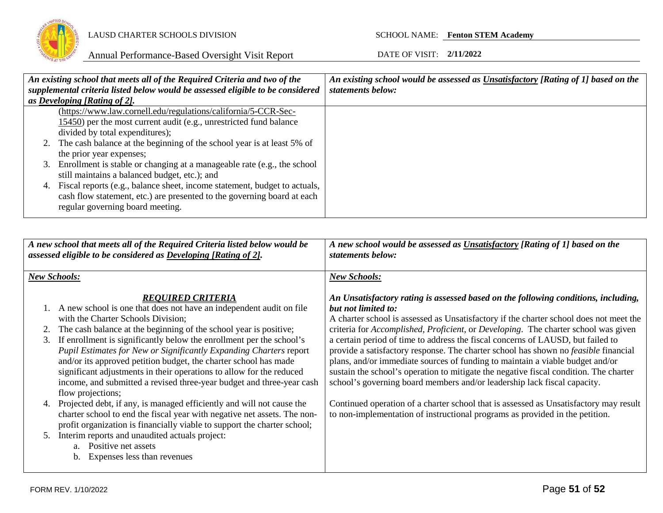

|    | An existing school that meets all of the Required Criteria and two of the      | An existing school would be assessed as Unsatisfactory [Rating of 1] based on the |
|----|--------------------------------------------------------------------------------|-----------------------------------------------------------------------------------|
|    | supplemental criteria listed below would be assessed eligible to be considered | statements below:                                                                 |
|    | as Developing [Rating of 2].                                                   |                                                                                   |
|    | (https://www.law.cornell.edu/regulations/california/5-CCR-Sec-                 |                                                                                   |
|    | 15450) per the most current audit (e.g., unrestricted fund balance             |                                                                                   |
|    | divided by total expenditures);                                                |                                                                                   |
|    | 2. The cash balance at the beginning of the school year is at least 5% of      |                                                                                   |
|    | the prior year expenses;                                                       |                                                                                   |
|    | 3. Enrollment is stable or changing at a manageable rate (e.g., the school     |                                                                                   |
|    | still maintains a balanced budget, etc.); and                                  |                                                                                   |
| 4. | Fiscal reports (e.g., balance sheet, income statement, budget to actuals,      |                                                                                   |
|    | cash flow statement, etc.) are presented to the governing board at each        |                                                                                   |
|    | regular governing board meeting.                                               |                                                                                   |
|    |                                                                                |                                                                                   |

|          | A new school that meets all of the Required Criteria listed below would be<br>assessed eligible to be considered as <b>Developing</b> [Rating of 2].                                                                                                                                                                                                                                                                                                                                                                                                                                                  | A new school would be assessed as Unsatisfactory [Rating of 1] based on the<br>statements below:                                                                                                                                                                                                                                                                                                                                                                                                                                                                                                                                                                                                                                                 |  |  |
|----------|-------------------------------------------------------------------------------------------------------------------------------------------------------------------------------------------------------------------------------------------------------------------------------------------------------------------------------------------------------------------------------------------------------------------------------------------------------------------------------------------------------------------------------------------------------------------------------------------------------|--------------------------------------------------------------------------------------------------------------------------------------------------------------------------------------------------------------------------------------------------------------------------------------------------------------------------------------------------------------------------------------------------------------------------------------------------------------------------------------------------------------------------------------------------------------------------------------------------------------------------------------------------------------------------------------------------------------------------------------------------|--|--|
|          | <b>New Schools:</b>                                                                                                                                                                                                                                                                                                                                                                                                                                                                                                                                                                                   | <b>New Schools:</b>                                                                                                                                                                                                                                                                                                                                                                                                                                                                                                                                                                                                                                                                                                                              |  |  |
| 3.       | <b>REOUIRED CRITERIA</b><br>1. A new school is one that does not have an independent audit on file<br>with the Charter Schools Division;<br>The cash balance at the beginning of the school year is positive;<br>If enrollment is significantly below the enrollment per the school's<br>Pupil Estimates for New or Significantly Expanding Charters report<br>and/or its approved petition budget, the charter school has made<br>significant adjustments in their operations to allow for the reduced<br>income, and submitted a revised three-year budget and three-year cash<br>flow projections; | An Unsatisfactory rating is assessed based on the following conditions, including,<br>but not limited to:<br>A charter school is assessed as Unsatisfactory if the charter school does not meet the<br>criteria for <i>Accomplished, Proficient</i> , or <i>Developing</i> . The charter school was given<br>a certain period of time to address the fiscal concerns of LAUSD, but failed to<br>provide a satisfactory response. The charter school has shown no <i>feasible</i> financial<br>plans, and/or immediate sources of funding to maintain a viable budget and/or<br>sustain the school's operation to mitigate the negative fiscal condition. The charter<br>school's governing board members and/or leadership lack fiscal capacity. |  |  |
| 4.<br>5. | Projected debt, if any, is managed efficiently and will not cause the<br>charter school to end the fiscal year with negative net assets. The non-<br>profit organization is financially viable to support the charter school;<br>Interim reports and unaudited actuals project:<br>a. Positive net assets<br>Expenses less than revenues<br>b.                                                                                                                                                                                                                                                        | Continued operation of a charter school that is assessed as Unsatisfactory may result<br>to non-implementation of instructional programs as provided in the petition.                                                                                                                                                                                                                                                                                                                                                                                                                                                                                                                                                                            |  |  |